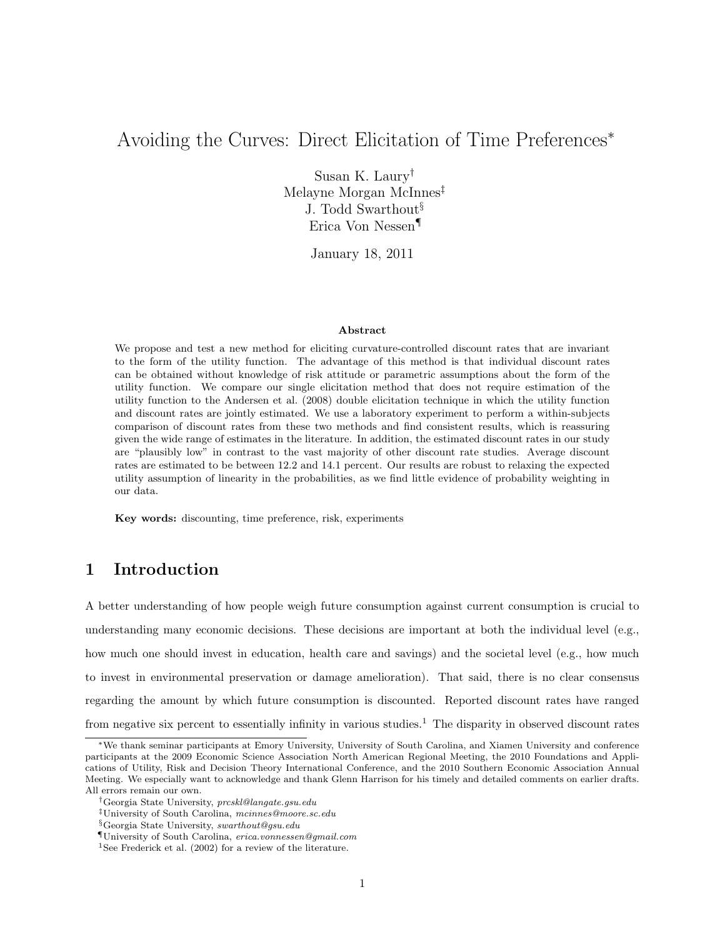# Avoiding the Curves: Direct Elicitation of Time Preferences<sup>∗</sup>

Susan K. Laury† Melayne Morgan McInnes‡ J. Todd Swarthout§ Erica Von Nessen¶

January 18, 2011

#### Abstract

We propose and test a new method for eliciting curvature-controlled discount rates that are invariant to the form of the utility function. The advantage of this method is that individual discount rates can be obtained without knowledge of risk attitude or parametric assumptions about the form of the utility function. We compare our single elicitation method that does not require estimation of the utility function to the Andersen et al. (2008) double elicitation technique in which the utility function and discount rates are jointly estimated. We use a laboratory experiment to perform a within-subjects comparison of discount rates from these two methods and find consistent results, which is reassuring given the wide range of estimates in the literature. In addition, the estimated discount rates in our study are "plausibly low" in contrast to the vast majority of other discount rate studies. Average discount rates are estimated to be between 12.2 and 14.1 percent. Our results are robust to relaxing the expected utility assumption of linearity in the probabilities, as we find little evidence of probability weighting in our data.

Key words: discounting, time preference, risk, experiments

## 1 Introduction

A better understanding of how people weigh future consumption against current consumption is crucial to understanding many economic decisions. These decisions are important at both the individual level (e.g., how much one should invest in education, health care and savings) and the societal level (e.g., how much to invest in environmental preservation or damage amelioration). That said, there is no clear consensus regarding the amount by which future consumption is discounted. Reported discount rates have ranged from negative six percent to essentially infinity in various studies.<sup>1</sup> The disparity in observed discount rates

<sup>∗</sup>We thank seminar participants at Emory University, University of South Carolina, and Xiamen University and conference participants at the 2009 Economic Science Association North American Regional Meeting, the 2010 Foundations and Applications of Utility, Risk and Decision Theory International Conference, and the 2010 Southern Economic Association Annual Meeting. We especially want to acknowledge and thank Glenn Harrison for his timely and detailed comments on earlier drafts. All errors remain our own.

<sup>†</sup>Georgia State University, prcskl@langate.gsu.edu

<sup>‡</sup>University of South Carolina, mcinnes@moore.sc.edu

<sup>§</sup>Georgia State University, swarthout@gsu.edu

<sup>¶</sup>University of South Carolina, erica.vonnessen@gmail.com

<sup>&</sup>lt;sup>1</sup>See Frederick et al.  $(2002)$  for a review of the literature.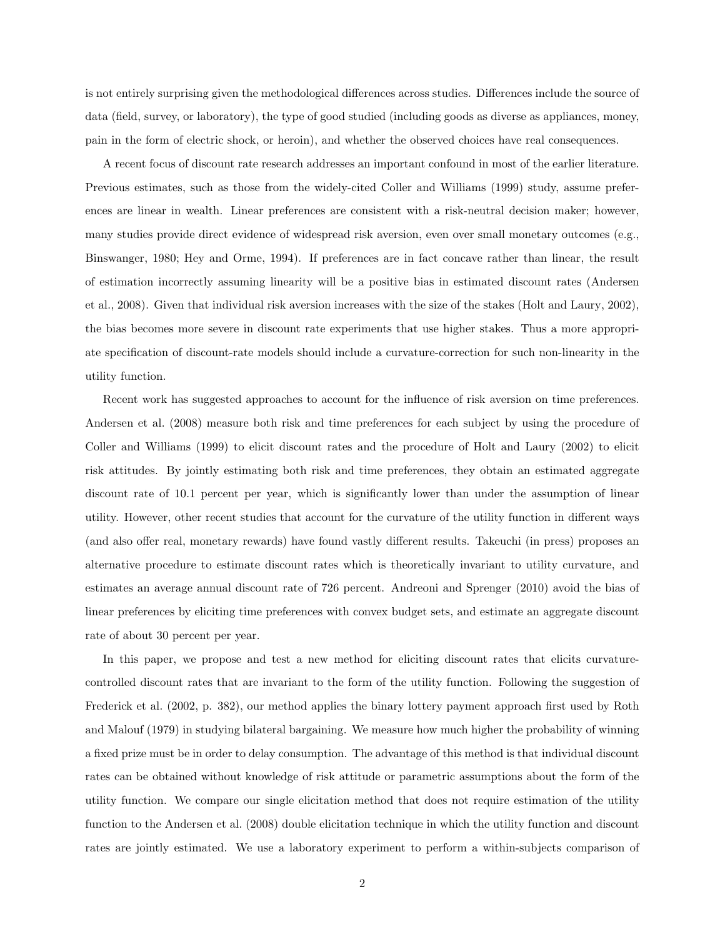is not entirely surprising given the methodological differences across studies. Differences include the source of data (field, survey, or laboratory), the type of good studied (including goods as diverse as appliances, money, pain in the form of electric shock, or heroin), and whether the observed choices have real consequences.

A recent focus of discount rate research addresses an important confound in most of the earlier literature. Previous estimates, such as those from the widely-cited Coller and Williams (1999) study, assume preferences are linear in wealth. Linear preferences are consistent with a risk-neutral decision maker; however, many studies provide direct evidence of widespread risk aversion, even over small monetary outcomes (e.g., Binswanger, 1980; Hey and Orme, 1994). If preferences are in fact concave rather than linear, the result of estimation incorrectly assuming linearity will be a positive bias in estimated discount rates (Andersen et al., 2008). Given that individual risk aversion increases with the size of the stakes (Holt and Laury, 2002), the bias becomes more severe in discount rate experiments that use higher stakes. Thus a more appropriate specification of discount-rate models should include a curvature-correction for such non-linearity in the utility function.

Recent work has suggested approaches to account for the influence of risk aversion on time preferences. Andersen et al. (2008) measure both risk and time preferences for each subject by using the procedure of Coller and Williams (1999) to elicit discount rates and the procedure of Holt and Laury (2002) to elicit risk attitudes. By jointly estimating both risk and time preferences, they obtain an estimated aggregate discount rate of 10.1 percent per year, which is significantly lower than under the assumption of linear utility. However, other recent studies that account for the curvature of the utility function in different ways (and also offer real, monetary rewards) have found vastly different results. Takeuchi (in press) proposes an alternative procedure to estimate discount rates which is theoretically invariant to utility curvature, and estimates an average annual discount rate of 726 percent. Andreoni and Sprenger (2010) avoid the bias of linear preferences by eliciting time preferences with convex budget sets, and estimate an aggregate discount rate of about 30 percent per year.

In this paper, we propose and test a new method for eliciting discount rates that elicits curvaturecontrolled discount rates that are invariant to the form of the utility function. Following the suggestion of Frederick et al. (2002, p. 382), our method applies the binary lottery payment approach first used by Roth and Malouf (1979) in studying bilateral bargaining. We measure how much higher the probability of winning a fixed prize must be in order to delay consumption. The advantage of this method is that individual discount rates can be obtained without knowledge of risk attitude or parametric assumptions about the form of the utility function. We compare our single elicitation method that does not require estimation of the utility function to the Andersen et al. (2008) double elicitation technique in which the utility function and discount rates are jointly estimated. We use a laboratory experiment to perform a within-subjects comparison of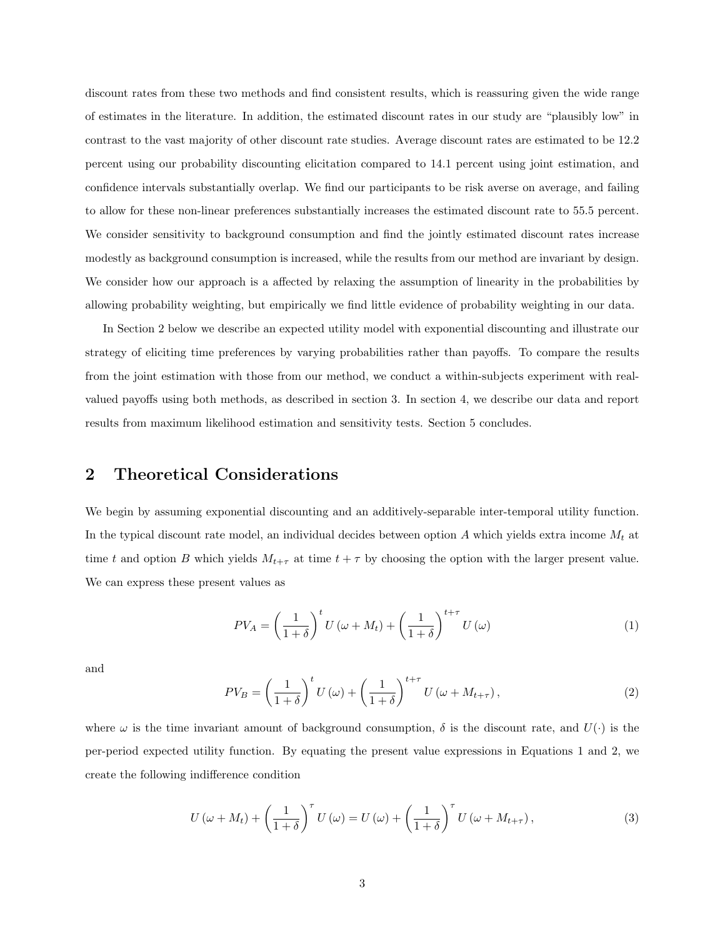discount rates from these two methods and find consistent results, which is reassuring given the wide range of estimates in the literature. In addition, the estimated discount rates in our study are "plausibly low" in contrast to the vast majority of other discount rate studies. Average discount rates are estimated to be 12.2 percent using our probability discounting elicitation compared to 14.1 percent using joint estimation, and confidence intervals substantially overlap. We find our participants to be risk averse on average, and failing to allow for these non-linear preferences substantially increases the estimated discount rate to 55.5 percent. We consider sensitivity to background consumption and find the jointly estimated discount rates increase modestly as background consumption is increased, while the results from our method are invariant by design. We consider how our approach is a affected by relaxing the assumption of linearity in the probabilities by allowing probability weighting, but empirically we find little evidence of probability weighting in our data.

In Section 2 below we describe an expected utility model with exponential discounting and illustrate our strategy of eliciting time preferences by varying probabilities rather than payoffs. To compare the results from the joint estimation with those from our method, we conduct a within-subjects experiment with realvalued payoffs using both methods, as described in section 3. In section 4, we describe our data and report results from maximum likelihood estimation and sensitivity tests. Section 5 concludes.

## 2 Theoretical Considerations

We begin by assuming exponential discounting and an additively-separable inter-temporal utility function. In the typical discount rate model, an individual decides between option A which yields extra income  $M_t$  at time t and option B which yields  $M_{t+\tau}$  at time  $t+\tau$  by choosing the option with the larger present value. We can express these present values as

$$
PV_A = \left(\frac{1}{1+\delta}\right)^t U(\omega + M_t) + \left(\frac{1}{1+\delta}\right)^{t+\tau} U(\omega)
$$
\n(1)

and

$$
PV_B = \left(\frac{1}{1+\delta}\right)^t U(\omega) + \left(\frac{1}{1+\delta}\right)^{t+\tau} U(\omega + M_{t+\tau}),\tag{2}
$$

where  $\omega$  is the time invariant amount of background consumption,  $\delta$  is the discount rate, and  $U(\cdot)$  is the per-period expected utility function. By equating the present value expressions in Equations 1 and 2, we create the following indifference condition

$$
U(\omega + M_t) + \left(\frac{1}{1+\delta}\right)^{\tau} U(\omega) = U(\omega) + \left(\frac{1}{1+\delta}\right)^{\tau} U(\omega + M_{t+\tau}), \tag{3}
$$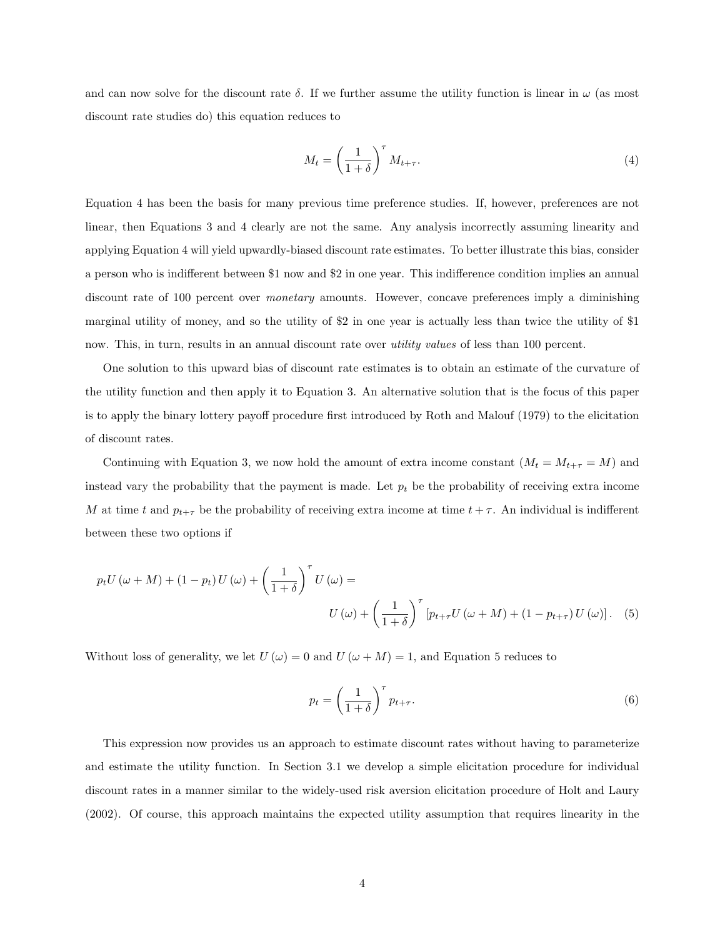and can now solve for the discount rate  $\delta$ . If we further assume the utility function is linear in  $\omega$  (as most discount rate studies do) this equation reduces to

$$
M_t = \left(\frac{1}{1+\delta}\right)^{\tau} M_{t+\tau}.
$$
\n(4)

Equation 4 has been the basis for many previous time preference studies. If, however, preferences are not linear, then Equations 3 and 4 clearly are not the same. Any analysis incorrectly assuming linearity and applying Equation 4 will yield upwardly-biased discount rate estimates. To better illustrate this bias, consider a person who is indifferent between \$1 now and \$2 in one year. This indifference condition implies an annual discount rate of 100 percent over *monetary* amounts. However, concave preferences imply a diminishing marginal utility of money, and so the utility of \$2 in one year is actually less than twice the utility of \$1 now. This, in turn, results in an annual discount rate over *utility values* of less than 100 percent.

One solution to this upward bias of discount rate estimates is to obtain an estimate of the curvature of the utility function and then apply it to Equation 3. An alternative solution that is the focus of this paper is to apply the binary lottery payoff procedure first introduced by Roth and Malouf (1979) to the elicitation of discount rates.

Continuing with Equation 3, we now hold the amount of extra income constant  $(M_t = M_{t+\tau} = M)$  and instead vary the probability that the payment is made. Let  $p_t$  be the probability of receiving extra income M at time t and  $p_{t+\tau}$  be the probability of receiving extra income at time  $t + \tau$ . An individual is indifferent between these two options if

$$
p_t U(\omega + M) + (1 - p_t) U(\omega) + \left(\frac{1}{1 + \delta}\right)^{\tau} U(\omega) =
$$
  

$$
U(\omega) + \left(\frac{1}{1 + \delta}\right)^{\tau} \left[p_{t+\tau} U(\omega + M) + (1 - p_{t+\tau}) U(\omega)\right].
$$
 (5)

Without loss of generality, we let  $U(\omega) = 0$  and  $U(\omega + M) = 1$ , and Equation 5 reduces to

$$
p_t = \left(\frac{1}{1+\delta}\right)^{\tau} p_{t+\tau}.\tag{6}
$$

This expression now provides us an approach to estimate discount rates without having to parameterize and estimate the utility function. In Section 3.1 we develop a simple elicitation procedure for individual discount rates in a manner similar to the widely-used risk aversion elicitation procedure of Holt and Laury (2002). Of course, this approach maintains the expected utility assumption that requires linearity in the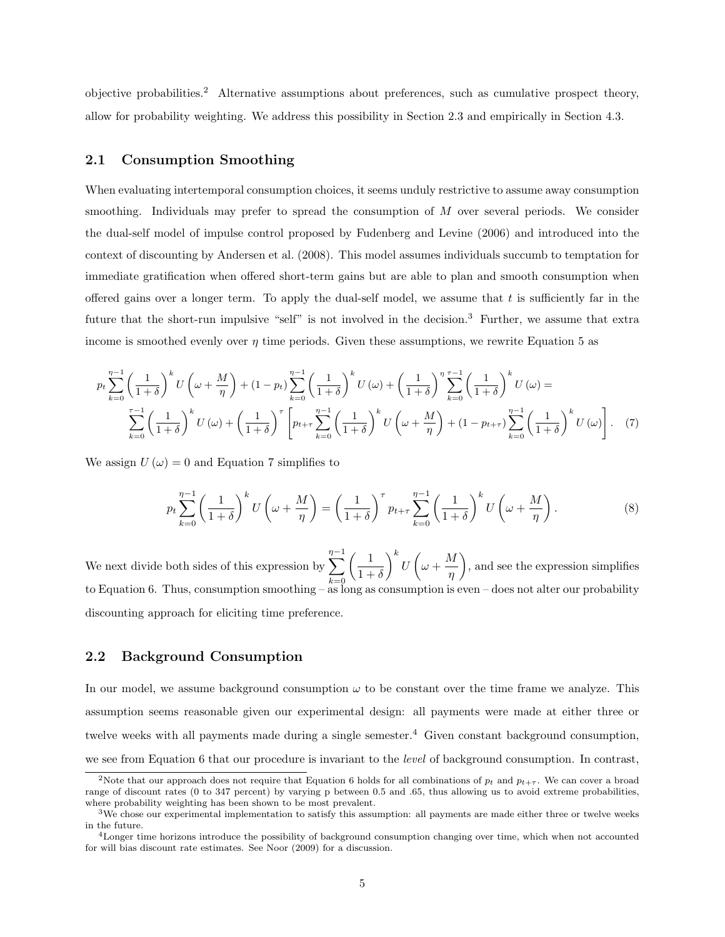objective probabilities.<sup>2</sup> Alternative assumptions about preferences, such as cumulative prospect theory, allow for probability weighting. We address this possibility in Section 2.3 and empirically in Section 4.3.

### 2.1 Consumption Smoothing

When evaluating intertemporal consumption choices, it seems unduly restrictive to assume away consumption smoothing. Individuals may prefer to spread the consumption of  $M$  over several periods. We consider the dual-self model of impulse control proposed by Fudenberg and Levine (2006) and introduced into the context of discounting by Andersen et al. (2008). This model assumes individuals succumb to temptation for immediate gratification when offered short-term gains but are able to plan and smooth consumption when offered gains over a longer term. To apply the dual-self model, we assume that  $t$  is sufficiently far in the future that the short-run impulsive "self" is not involved in the decision.<sup>3</sup> Further, we assume that extra income is smoothed evenly over  $\eta$  time periods. Given these assumptions, we rewrite Equation 5 as

$$
p_t \sum_{k=0}^{\eta-1} \left(\frac{1}{1+\delta}\right)^k U\left(\omega + \frac{M}{\eta}\right) + (1-p_t) \sum_{k=0}^{\eta-1} \left(\frac{1}{1+\delta}\right)^k U(\omega) + \left(\frac{1}{1+\delta}\right)^{\eta} \sum_{k=0}^{\eta-1} \left(\frac{1}{1+\delta}\right)^k U(\omega) =
$$
  

$$
\sum_{k=0}^{\tau-1} \left(\frac{1}{1+\delta}\right)^k U(\omega) + \left(\frac{1}{1+\delta}\right)^{\tau} \left[p_{t+\tau} \sum_{k=0}^{\eta-1} \left(\frac{1}{1+\delta}\right)^k U\left(\omega + \frac{M}{\eta}\right) + (1-p_{t+\tau}) \sum_{k=0}^{\eta-1} \left(\frac{1}{1+\delta}\right)^k U(\omega)\right].
$$
 (7)

We assign  $U(\omega) = 0$  and Equation 7 simplifies to

$$
p_t \sum_{k=0}^{\eta-1} \left(\frac{1}{1+\delta}\right)^k U\left(\omega + \frac{M}{\eta}\right) = \left(\frac{1}{1+\delta}\right)^{\tau} p_{t+\tau} \sum_{k=0}^{\eta-1} \left(\frac{1}{1+\delta}\right)^k U\left(\omega + \frac{M}{\eta}\right).
$$
 (8)

We next divide both sides of this expression by  $\sum_{ }^{n-1}$  $k=0$  $\begin{pmatrix} 1 \end{pmatrix}$  $1+\delta$  $\int^k U(\omega + \frac{M}{\sqrt{2}})$ η ), and see the expression simplifies to Equation 6. Thus, consumption smoothing – as long as consumption is even – does not alter our probability discounting approach for eliciting time preference.

## 2.2 Background Consumption

In our model, we assume background consumption  $\omega$  to be constant over the time frame we analyze. This assumption seems reasonable given our experimental design: all payments were made at either three or twelve weeks with all payments made during a single semester.<sup>4</sup> Given constant background consumption, we see from Equation 6 that our procedure is invariant to the *level* of background consumption. In contrast,

<sup>&</sup>lt;sup>2</sup>Note that our approach does not require that Equation 6 holds for all combinations of  $p_t$  and  $p_{t+\tau}$ . We can cover a broad range of discount rates (0 to 347 percent) by varying p between 0.5 and .65, thus allowing us to avoid extreme probabilities, where probability weighting has been shown to be most prevalent.

<sup>3</sup>We chose our experimental implementation to satisfy this assumption: all payments are made either three or twelve weeks in the future.

 $4$ Longer time horizons introduce the possibility of background consumption changing over time, which when not accounted for will bias discount rate estimates. See Noor (2009) for a discussion.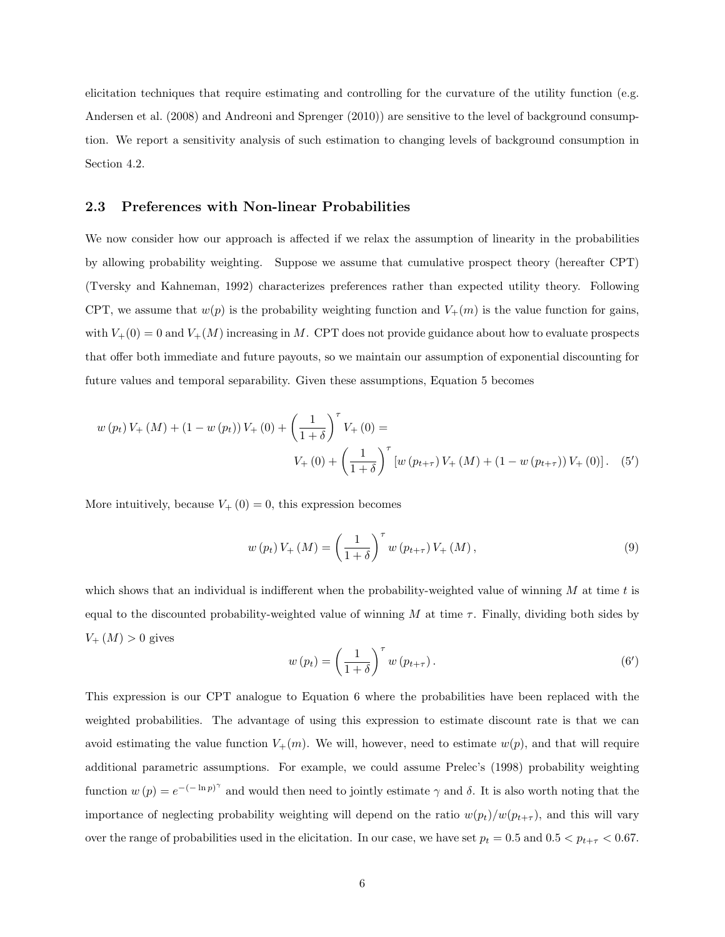elicitation techniques that require estimating and controlling for the curvature of the utility function (e.g. Andersen et al. (2008) and Andreoni and Sprenger (2010)) are sensitive to the level of background consumption. We report a sensitivity analysis of such estimation to changing levels of background consumption in Section 4.2.

#### 2.3 Preferences with Non-linear Probabilities

We now consider how our approach is affected if we relax the assumption of linearity in the probabilities by allowing probability weighting. Suppose we assume that cumulative prospect theory (hereafter CPT) (Tversky and Kahneman, 1992) characterizes preferences rather than expected utility theory. Following CPT, we assume that  $w(p)$  is the probability weighting function and  $V_{+}(m)$  is the value function for gains, with  $V_+(0) = 0$  and  $V_+(M)$  increasing in M. CPT does not provide guidance about how to evaluate prospects that offer both immediate and future payouts, so we maintain our assumption of exponential discounting for future values and temporal separability. Given these assumptions, Equation 5 becomes

$$
w(p_t) V_+(M) + (1 - w(p_t)) V_+(0) + \left(\frac{1}{1+\delta}\right)^{\tau} V_+(0) =
$$
  

$$
V_+(0) + \left(\frac{1}{1+\delta}\right)^{\tau} \left[w(p_{t+\tau}) V_+(M) + (1 - w(p_{t+\tau})) V_+(0)\right].
$$
 (5')

More intuitively, because  $V_+(0) = 0$ , this expression becomes

$$
w(p_t) V_+ (M) = \left(\frac{1}{1+\delta}\right)^{\tau} w(p_{t+\tau}) V_+ (M), \qquad (9)
$$

which shows that an individual is indifferent when the probability-weighted value of winning  $M$  at time  $t$  is equal to the discounted probability-weighted value of winning M at time  $\tau$ . Finally, dividing both sides by  $V_+(M) > 0$  gives

$$
w(p_t) = \left(\frac{1}{1+\delta}\right)^{\tau} w(p_{t+\tau}).
$$
\n(6')

This expression is our CPT analogue to Equation 6 where the probabilities have been replaced with the weighted probabilities. The advantage of using this expression to estimate discount rate is that we can avoid estimating the value function  $V_+(m)$ . We will, however, need to estimate  $w(p)$ , and that will require additional parametric assumptions. For example, we could assume Prelec's (1998) probability weighting function  $w(p) = e^{-(-\ln p)^{\gamma}}$  and would then need to jointly estimate  $\gamma$  and  $\delta$ . It is also worth noting that the importance of neglecting probability weighting will depend on the ratio  $w(p_t)/w(p_{t+\tau})$ , and this will vary over the range of probabilities used in the elicitation. In our case, we have set  $p_t = 0.5$  and  $0.5 < p_{t+\tau} < 0.67$ .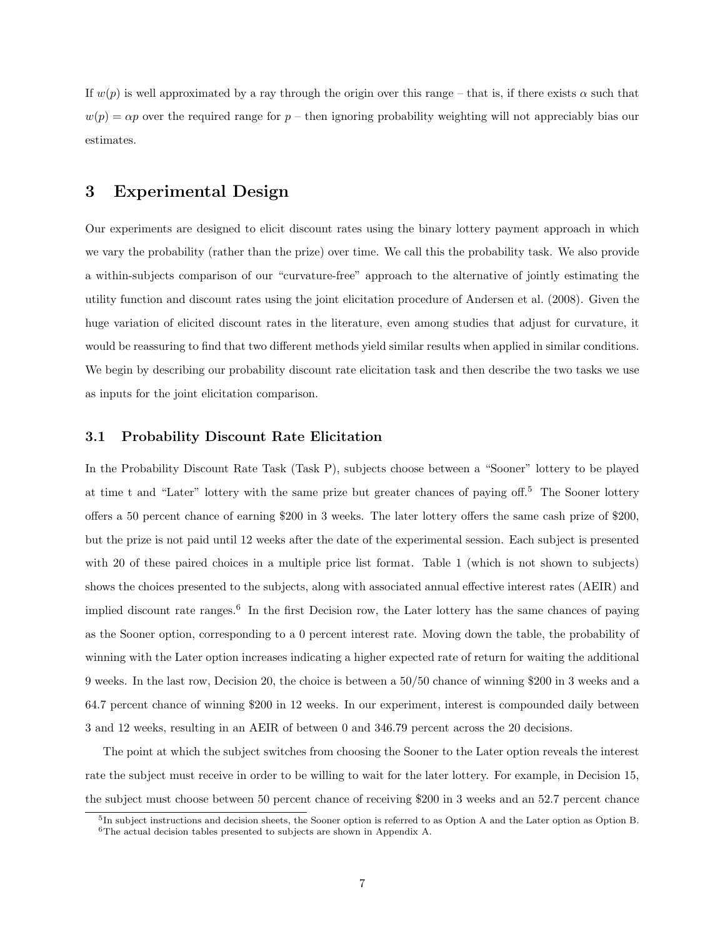If  $w(p)$  is well approximated by a ray through the origin over this range – that is, if there exists  $\alpha$  such that  $w(p) = \alpha p$  over the required range for p – then ignoring probability weighting will not appreciably bias our estimates.

## 3 Experimental Design

Our experiments are designed to elicit discount rates using the binary lottery payment approach in which we vary the probability (rather than the prize) over time. We call this the probability task. We also provide a within-subjects comparison of our "curvature-free" approach to the alternative of jointly estimating the utility function and discount rates using the joint elicitation procedure of Andersen et al. (2008). Given the huge variation of elicited discount rates in the literature, even among studies that adjust for curvature, it would be reassuring to find that two different methods yield similar results when applied in similar conditions. We begin by describing our probability discount rate elicitation task and then describe the two tasks we use as inputs for the joint elicitation comparison.

#### 3.1 Probability Discount Rate Elicitation

In the Probability Discount Rate Task (Task P), subjects choose between a "Sooner" lottery to be played at time t and "Later" lottery with the same prize but greater chances of paying off.<sup>5</sup> The Sooner lottery offers a 50 percent chance of earning \$200 in 3 weeks. The later lottery offers the same cash prize of \$200, but the prize is not paid until 12 weeks after the date of the experimental session. Each subject is presented with 20 of these paired choices in a multiple price list format. Table 1 (which is not shown to subjects) shows the choices presented to the subjects, along with associated annual effective interest rates (AEIR) and implied discount rate ranges.<sup>6</sup> In the first Decision row, the Later lottery has the same chances of paying as the Sooner option, corresponding to a 0 percent interest rate. Moving down the table, the probability of winning with the Later option increases indicating a higher expected rate of return for waiting the additional 9 weeks. In the last row, Decision 20, the choice is between a 50/50 chance of winning \$200 in 3 weeks and a 64.7 percent chance of winning \$200 in 12 weeks. In our experiment, interest is compounded daily between 3 and 12 weeks, resulting in an AEIR of between 0 and 346.79 percent across the 20 decisions.

The point at which the subject switches from choosing the Sooner to the Later option reveals the interest rate the subject must receive in order to be willing to wait for the later lottery. For example, in Decision 15, the subject must choose between 50 percent chance of receiving \$200 in 3 weeks and an 52.7 percent chance

<sup>&</sup>lt;sup>5</sup>In subject instructions and decision sheets, the Sooner option is referred to as Option A and the Later option as Option B.

<sup>6</sup>The actual decision tables presented to subjects are shown in Appendix A.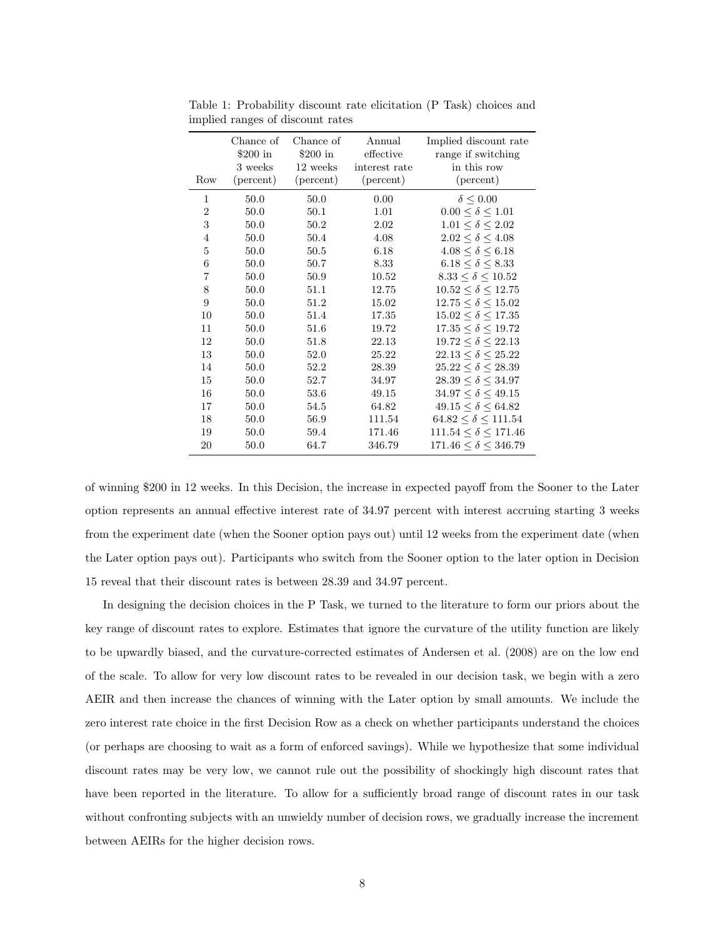| Row            | Chance of<br>$$200$ in<br>3 weeks<br>(percent) | Chance of<br>$$200$ in<br>12 weeks<br>(percent) | Annual<br>effective<br>interest rate<br>(percent) | Implied discount rate<br>range if switching<br>in this row<br>(percent) |
|----------------|------------------------------------------------|-------------------------------------------------|---------------------------------------------------|-------------------------------------------------------------------------|
| $\mathbf{1}$   | 50.0                                           | 50.0                                            | 0.00                                              | $\delta \leq 0.00$                                                      |
| $\overline{2}$ | 50.0                                           | 50.1                                            | 1.01                                              | $0.00 \leq \delta \leq 1.01$                                            |
| 3              | 50.0                                           | 50.2                                            | 2.02                                              | $1.01 < \delta < 2.02$                                                  |
| $\overline{4}$ | 50.0                                           | 50.4                                            | 4.08                                              | $2.02 < \delta < 4.08$                                                  |
| 5              | 50.0                                           | 50.5                                            | 6.18                                              | $4.08 \leq \delta \leq 6.18$                                            |
| 6              | 50.0                                           | 50.7                                            | 8.33                                              |                                                                         |
| $\overline{7}$ | 50.0                                           | 50.9                                            |                                                   | $6.18 < \delta < 8.33$                                                  |
|                |                                                |                                                 | 10.52                                             | $8.33 < \delta < 10.52$                                                 |
| 8              | 50.0                                           | 51.1                                            | 12.75                                             | $10.52 \le \delta \le 12.75$                                            |
| 9              | 50.0                                           | 51.2                                            | 15.02                                             | $12.75 < \delta < 15.02$                                                |
| 10             | 50.0                                           | 51.4                                            | 17.35                                             | $15.02 < \delta < 17.35$                                                |
| 11             | 50.0                                           | 51.6                                            | 19.72                                             | $17.35 < \delta < 19.72$                                                |
| 12             | 50.0                                           | 51.8                                            | 22.13                                             | $19.72 \le \delta \le 22.13$                                            |
| 13             | 50.0                                           | 52.0                                            | 25.22                                             | $22.13 \le \delta \le 25.22$                                            |
| 14             | 50.0                                           | 52.2                                            | 28.39                                             | $25.22 \leq \delta \leq 28.39$                                          |
| 15             | 50.0                                           | 52.7                                            | 34.97                                             | $28.39 \le \delta \le 34.97$                                            |
| 16             | 50.0                                           | 53.6                                            | 49.15                                             | $34.97 < \delta < 49.15$                                                |
| 17             | 50.0                                           | 54.5                                            | 64.82                                             | $49.15 < \delta < 64.82$                                                |
| 18             | 50.0                                           | 56.9                                            | 111.54                                            | $64.82 < \delta < 111.54$                                               |
| 19             | 50.0                                           | 59.4                                            | 171.46                                            | $111.54 \le \delta \le 171.46$                                          |
| 20             | 50.0                                           | 64.7                                            | 346.79                                            | $171.46 \le \delta \le 346.79$                                          |

Table 1: Probability discount rate elicitation (P Task) choices and implied ranges of discount rates

of winning \$200 in 12 weeks. In this Decision, the increase in expected payoff from the Sooner to the Later option represents an annual effective interest rate of 34.97 percent with interest accruing starting 3 weeks from the experiment date (when the Sooner option pays out) until 12 weeks from the experiment date (when the Later option pays out). Participants who switch from the Sooner option to the later option in Decision 15 reveal that their discount rates is between 28.39 and 34.97 percent.

In designing the decision choices in the P Task, we turned to the literature to form our priors about the key range of discount rates to explore. Estimates that ignore the curvature of the utility function are likely to be upwardly biased, and the curvature-corrected estimates of Andersen et al. (2008) are on the low end of the scale. To allow for very low discount rates to be revealed in our decision task, we begin with a zero AEIR and then increase the chances of winning with the Later option by small amounts. We include the zero interest rate choice in the first Decision Row as a check on whether participants understand the choices (or perhaps are choosing to wait as a form of enforced savings). While we hypothesize that some individual discount rates may be very low, we cannot rule out the possibility of shockingly high discount rates that have been reported in the literature. To allow for a sufficiently broad range of discount rates in our task without confronting subjects with an unwieldy number of decision rows, we gradually increase the increment between AEIRs for the higher decision rows.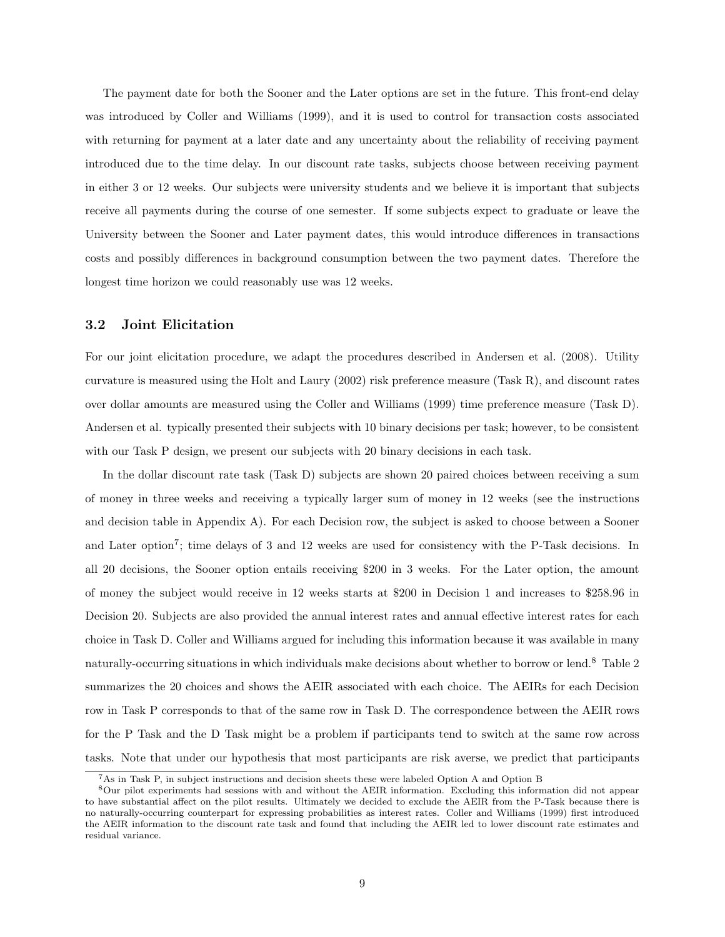The payment date for both the Sooner and the Later options are set in the future. This front-end delay was introduced by Coller and Williams (1999), and it is used to control for transaction costs associated with returning for payment at a later date and any uncertainty about the reliability of receiving payment introduced due to the time delay. In our discount rate tasks, subjects choose between receiving payment in either 3 or 12 weeks. Our subjects were university students and we believe it is important that subjects receive all payments during the course of one semester. If some subjects expect to graduate or leave the University between the Sooner and Later payment dates, this would introduce differences in transactions costs and possibly differences in background consumption between the two payment dates. Therefore the longest time horizon we could reasonably use was 12 weeks.

### 3.2 Joint Elicitation

For our joint elicitation procedure, we adapt the procedures described in Andersen et al. (2008). Utility curvature is measured using the Holt and Laury (2002) risk preference measure (Task R), and discount rates over dollar amounts are measured using the Coller and Williams (1999) time preference measure (Task D). Andersen et al. typically presented their subjects with 10 binary decisions per task; however, to be consistent with our Task P design, we present our subjects with 20 binary decisions in each task.

In the dollar discount rate task (Task D) subjects are shown 20 paired choices between receiving a sum of money in three weeks and receiving a typically larger sum of money in 12 weeks (see the instructions and decision table in Appendix A). For each Decision row, the subject is asked to choose between a Sooner and Later option<sup>7</sup>; time delays of 3 and 12 weeks are used for consistency with the P-Task decisions. In all 20 decisions, the Sooner option entails receiving \$200 in 3 weeks. For the Later option, the amount of money the subject would receive in 12 weeks starts at \$200 in Decision 1 and increases to \$258.96 in Decision 20. Subjects are also provided the annual interest rates and annual effective interest rates for each choice in Task D. Coller and Williams argued for including this information because it was available in many naturally-occurring situations in which individuals make decisions about whether to borrow or lend.<sup>8</sup> Table 2 summarizes the 20 choices and shows the AEIR associated with each choice. The AEIRs for each Decision row in Task P corresponds to that of the same row in Task D. The correspondence between the AEIR rows for the P Task and the D Task might be a problem if participants tend to switch at the same row across tasks. Note that under our hypothesis that most participants are risk averse, we predict that participants

<sup>7</sup>As in Task P, in subject instructions and decision sheets these were labeled Option A and Option B

<sup>8</sup>Our pilot experiments had sessions with and without the AEIR information. Excluding this information did not appear to have substantial affect on the pilot results. Ultimately we decided to exclude the AEIR from the P-Task because there is no naturally-occurring counterpart for expressing probabilities as interest rates. Coller and Williams (1999) first introduced the AEIR information to the discount rate task and found that including the AEIR led to lower discount rate estimates and residual variance.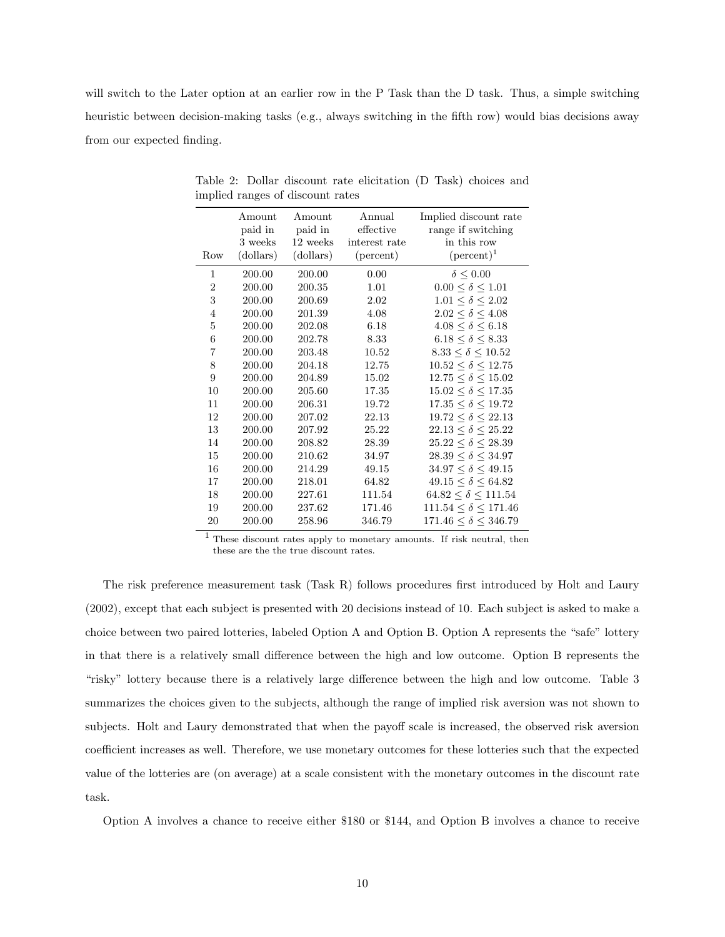will switch to the Later option at an earlier row in the P Task than the D task. Thus, a simple switching heuristic between decision-making tasks (e.g., always switching in the fifth row) would bias decisions away from our expected finding.

|                | Amount<br>paid in | Amount<br>paid in | Annual<br>effective | Implied discount rate<br>range if switching |
|----------------|-------------------|-------------------|---------------------|---------------------------------------------|
|                | 3 weeks           | 12 weeks          | interest rate       | in this row                                 |
| Row            | (dollars)         | (dollars)         | (percent)           | $(\text{percent})^1$                        |
| 1              | 200.00            | 200.00            | 0.00                | $\delta \leq 0.00$                          |
| $\overline{2}$ | 200.00            | 200.35            | 1.01                | $0.00 \leq \delta \leq 1.01$                |
| 3              | 200.00            | 200.69            | 2.02                | $1.01 \leq \delta \leq 2.02$                |
| $\overline{4}$ | 200.00            | 201.39            | 4.08                | $2.02 < \delta < 4.08$                      |
| $\overline{5}$ | 200.00            | 202.08            | 6.18                | $4.08 \leq \delta \leq 6.18$                |
| 6              | 200.00            | 202.78            | 8.33                | $6.18 \leq \delta \leq 8.33$                |
| $\overline{7}$ | 200.00            | 203.48            | 10.52               | $8.33 \leq \delta \leq 10.52$               |
| 8              | 200.00            | 204.18            | 12.75               | $10.52 < \delta < 12.75$                    |
| 9              | 200.00            | 204.89            | 15.02               | $12.75 < \delta < 15.02$                    |
| 10             | 200.00            | 205.60            | 17.35               | $15.02 < \delta < 17.35$                    |
| 11             | 200.00            | 206.31            | 19.72               | $17.35 \leq \delta \leq 19.72$              |
| 12             | 200.00            | 207.02            | 22.13               | $19.72 < \delta < 22.13$                    |
| 13             | 200.00            | 207.92            | 25.22               | $22.13 < \delta < 25.22$                    |
| 14             | 200.00            | 208.82            | 28.39               | $25.22 \le \delta \le 28.39$                |
| 15             | 200.00            | 210.62            | 34.97               | $28.39 < \delta < 34.97$                    |
| 16             | 200.00            | 214.29            | 49.15               | $34.97 \le \delta \le 49.15$                |
| 17             | 200.00            | 218.01            | 64.82               | $49.15 \le \delta \le 64.82$                |
| 18             | 200.00            | 227.61            | 111.54              | $64.82 \le \delta \le 111.54$               |
| 19             | 200.00            | 237.62            | 171.46              | $111.54 \le \delta \le 171.46$              |
| 20             | 200.00            | 258.96            | 346.79              | $171.46 \le \delta \le 346.79$              |

Table 2: Dollar discount rate elicitation (D Task) choices and implied ranges of discount rates

 $<sup>1</sup>$  These discount rates apply to monetary amounts. If risk neutral, then</sup> these are the the true discount rates.

The risk preference measurement task (Task R) follows procedures first introduced by Holt and Laury (2002), except that each subject is presented with 20 decisions instead of 10. Each subject is asked to make a choice between two paired lotteries, labeled Option A and Option B. Option A represents the "safe" lottery in that there is a relatively small difference between the high and low outcome. Option B represents the "risky" lottery because there is a relatively large difference between the high and low outcome. Table 3 summarizes the choices given to the subjects, although the range of implied risk aversion was not shown to subjects. Holt and Laury demonstrated that when the payoff scale is increased, the observed risk aversion coefficient increases as well. Therefore, we use monetary outcomes for these lotteries such that the expected value of the lotteries are (on average) at a scale consistent with the monetary outcomes in the discount rate task.

Option A involves a chance to receive either \$180 or \$144, and Option B involves a chance to receive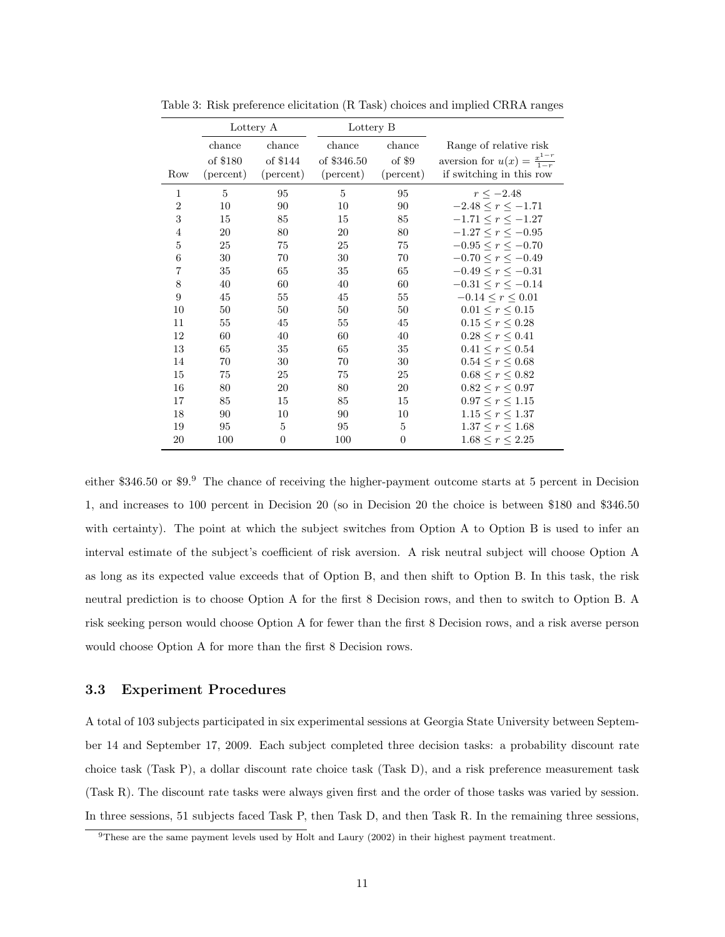|                  |                    | Lottery A          | Lottery B             |                  |                                                                     |
|------------------|--------------------|--------------------|-----------------------|------------------|---------------------------------------------------------------------|
|                  | chance<br>of \$180 | chance<br>of \$144 | chance<br>of \$346.50 | chance<br>of \$9 | Range of relative risk<br>aversion for $u(x) = \frac{x^{1-r}}{1-r}$ |
| Row              | (percent)          | (percent)          | (percent)             | (percent)        | if switching in this row                                            |
| $\mathbf{1}$     | 5                  | 95                 | 5                     | 95               | $r \le -2.48$                                                       |
| $\overline{2}$   | 10                 | 90                 | 10                    | 90               | $-2.48 < r < -1.71$                                                 |
| 3                | 15                 | 85                 | 15                    | 85               | $-1.71 \le r \le -1.27$                                             |
| $\overline{4}$   | 20                 | 80                 | 20                    | 80               | $-1.27 \le r \le -0.95$                                             |
| $\bf 5$          | 25                 | 75                 | 25                    | 75               | $-0.95 \leq r \leq -0.70$                                           |
| $\sqrt{6}$       | 30                 | 70                 | 30                    | 70               | $-0.70 \le r \le -0.49$                                             |
| $\overline{7}$   | 35                 | 65                 | 35                    | 65               | $-0.49 \leq r \leq -0.31$                                           |
| 8                | 40                 | 60                 | 40                    | 60               | $-0.31 \le r \le -0.14$                                             |
| $\boldsymbol{9}$ | 45                 | 55                 | 45                    | 55               | $-0.14 \leq r \leq 0.01$                                            |
| 10               | 50                 | 50                 | 50                    | 50               | $0.01 \leq r \leq 0.15$                                             |
| 11               | 55                 | 45                 | 55                    | 45               | $0.15 \leq r \leq 0.28$                                             |
| 12               | 60                 | 40                 | 60                    | 40               | $0.28 \leq r \leq 0.41$                                             |
| 13               | 65                 | 35                 | 65                    | 35               | $0.41 \leq r \leq 0.54$                                             |
| 14               | 70                 | 30                 | 70                    | 30               | $0.54 \leq r \leq 0.68$                                             |
| 15               | 75                 | 25                 | 75                    | 25               | $0.68 \leq r \leq 0.82$                                             |
| 16               | 80                 | 20                 | 80                    | 20               | $0.82 \le r \le 0.97$                                               |
| 17               | 85                 | 15                 | 85                    | 15               | $0.97 \leq r \leq 1.15$                                             |
| 18               | 90                 | 10                 | 90                    | 10               | $1.15 \leq r \leq 1.37$                                             |
| 19               | 95                 | $\overline{5}$     | 95                    | $\overline{5}$   | $1.37 \le r \le 1.68$                                               |
| 20               | 100                | $\overline{0}$     | 100                   | $\overline{0}$   | $1.68 \leq r \leq 2.25$                                             |

Table 3: Risk preference elicitation (R Task) choices and implied CRRA ranges

either \$346.50 or \$9.<sup>9</sup> The chance of receiving the higher-payment outcome starts at 5 percent in Decision 1, and increases to 100 percent in Decision 20 (so in Decision 20 the choice is between \$180 and \$346.50 with certainty). The point at which the subject switches from Option A to Option B is used to infer an interval estimate of the subject's coefficient of risk aversion. A risk neutral subject will choose Option A as long as its expected value exceeds that of Option B, and then shift to Option B. In this task, the risk neutral prediction is to choose Option A for the first 8 Decision rows, and then to switch to Option B. A risk seeking person would choose Option A for fewer than the first 8 Decision rows, and a risk averse person would choose Option A for more than the first 8 Decision rows.

#### 3.3 Experiment Procedures

A total of 103 subjects participated in six experimental sessions at Georgia State University between September 14 and September 17, 2009. Each subject completed three decision tasks: a probability discount rate choice task (Task P), a dollar discount rate choice task (Task D), and a risk preference measurement task (Task R). The discount rate tasks were always given first and the order of those tasks was varied by session. In three sessions, 51 subjects faced Task P, then Task D, and then Task R. In the remaining three sessions,

<sup>9</sup>These are the same payment levels used by Holt and Laury (2002) in their highest payment treatment.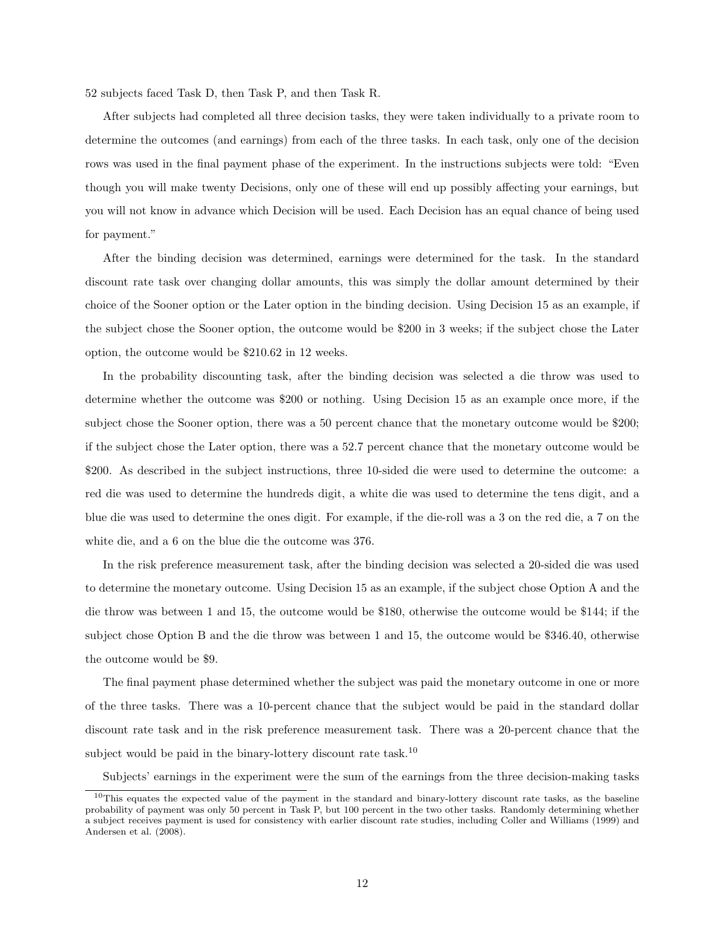52 subjects faced Task D, then Task P, and then Task R.

After subjects had completed all three decision tasks, they were taken individually to a private room to determine the outcomes (and earnings) from each of the three tasks. In each task, only one of the decision rows was used in the final payment phase of the experiment. In the instructions subjects were told: "Even though you will make twenty Decisions, only one of these will end up possibly affecting your earnings, but you will not know in advance which Decision will be used. Each Decision has an equal chance of being used for payment."

After the binding decision was determined, earnings were determined for the task. In the standard discount rate task over changing dollar amounts, this was simply the dollar amount determined by their choice of the Sooner option or the Later option in the binding decision. Using Decision 15 as an example, if the subject chose the Sooner option, the outcome would be \$200 in 3 weeks; if the subject chose the Later option, the outcome would be \$210.62 in 12 weeks.

In the probability discounting task, after the binding decision was selected a die throw was used to determine whether the outcome was \$200 or nothing. Using Decision 15 as an example once more, if the subject chose the Sooner option, there was a 50 percent chance that the monetary outcome would be \$200; if the subject chose the Later option, there was a 52.7 percent chance that the monetary outcome would be \$200. As described in the subject instructions, three 10-sided die were used to determine the outcome: a red die was used to determine the hundreds digit, a white die was used to determine the tens digit, and a blue die was used to determine the ones digit. For example, if the die-roll was a 3 on the red die, a 7 on the white die, and a 6 on the blue die the outcome was 376.

In the risk preference measurement task, after the binding decision was selected a 20-sided die was used to determine the monetary outcome. Using Decision 15 as an example, if the subject chose Option A and the die throw was between 1 and 15, the outcome would be \$180, otherwise the outcome would be \$144; if the subject chose Option B and the die throw was between 1 and 15, the outcome would be \$346.40, otherwise the outcome would be \$9.

The final payment phase determined whether the subject was paid the monetary outcome in one or more of the three tasks. There was a 10-percent chance that the subject would be paid in the standard dollar discount rate task and in the risk preference measurement task. There was a 20-percent chance that the subject would be paid in the binary-lottery discount rate task.<sup>10</sup>

Subjects' earnings in the experiment were the sum of the earnings from the three decision-making tasks

 $10$ This equates the expected value of the payment in the standard and binary-lottery discount rate tasks, as the baseline probability of payment was only 50 percent in Task P, but 100 percent in the two other tasks. Randomly determining whether a subject receives payment is used for consistency with earlier discount rate studies, including Coller and Williams (1999) and Andersen et al. (2008).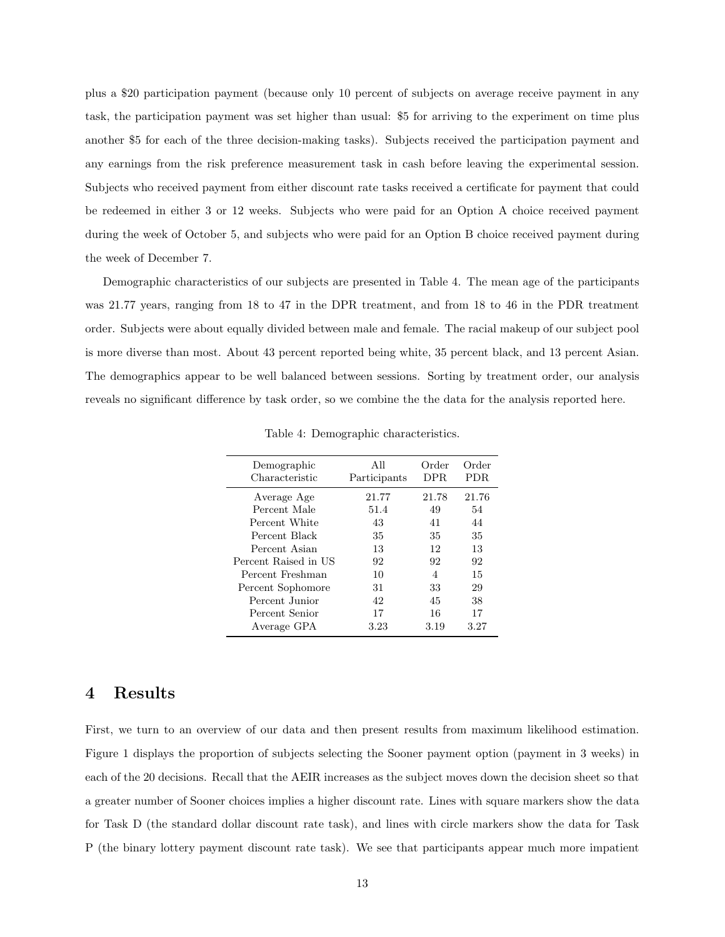plus a \$20 participation payment (because only 10 percent of subjects on average receive payment in any task, the participation payment was set higher than usual: \$5 for arriving to the experiment on time plus another \$5 for each of the three decision-making tasks). Subjects received the participation payment and any earnings from the risk preference measurement task in cash before leaving the experimental session. Subjects who received payment from either discount rate tasks received a certificate for payment that could be redeemed in either 3 or 12 weeks. Subjects who were paid for an Option A choice received payment during the week of October 5, and subjects who were paid for an Option B choice received payment during the week of December 7.

Demographic characteristics of our subjects are presented in Table 4. The mean age of the participants was 21.77 years, ranging from 18 to 47 in the DPR treatment, and from 18 to 46 in the PDR treatment order. Subjects were about equally divided between male and female. The racial makeup of our subject pool is more diverse than most. About 43 percent reported being white, 35 percent black, and 13 percent Asian. The demographics appear to be well balanced between sessions. Sorting by treatment order, our analysis reveals no significant difference by task order, so we combine the the data for the analysis reported here.

| Demographic          | All          | Order | Order |
|----------------------|--------------|-------|-------|
| Characteristic       | Participants | DPR.  | PDR.  |
| Average Age          | 21.77        | 21.78 | 21.76 |
| Percent Male         | 51.4         | 49    | 54    |
| Percent White        | 43           | 41    | 44    |
| Percent Black        | 35           | 35    | 35    |
| Percent Asian        | 13           | 12    | 13    |
| Percent Raised in US | 92           | 92    | 92    |
| Percent Freshman     | 10           | 4     | 15    |
| Percent Sophomore    | 31           | 33    | 29    |
| Percent Junior       | 42           | 45    | 38    |
| Percent Senior       | 17           | 16    | 17    |
| Average GPA          | 3.23         | 3.19  | 3.27  |

Table 4: Demographic characteristics.

## 4 Results

First, we turn to an overview of our data and then present results from maximum likelihood estimation. Figure 1 displays the proportion of subjects selecting the Sooner payment option (payment in 3 weeks) in each of the 20 decisions. Recall that the AEIR increases as the subject moves down the decision sheet so that a greater number of Sooner choices implies a higher discount rate. Lines with square markers show the data for Task D (the standard dollar discount rate task), and lines with circle markers show the data for Task P (the binary lottery payment discount rate task). We see that participants appear much more impatient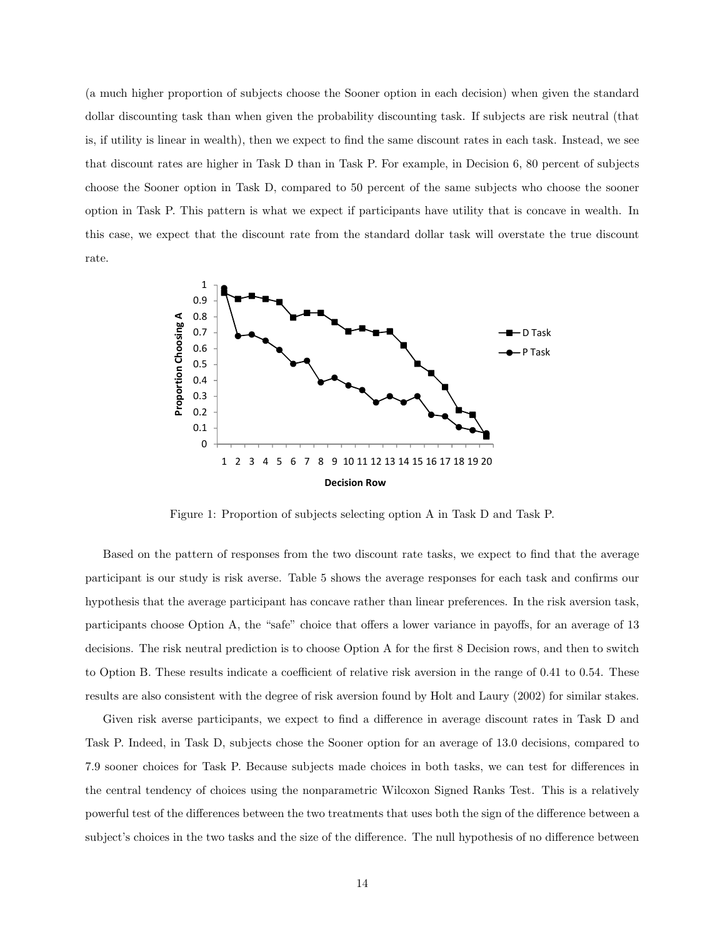(a much higher proportion of subjects choose the Sooner option in each decision) when given the standard dollar discounting task than when given the probability discounting task. If subjects are risk neutral (that is, if utility is linear in wealth), then we expect to find the same discount rates in each task. Instead, we see that discount rates are higher in Task D than in Task P. For example, in Decision 6, 80 percent of subjects choose the Sooner option in Task D, compared to 50 percent of the same subjects who choose the sooner option in Task P. This pattern is what we expect if participants have utility that is concave in wealth. In this case, we expect that the discount rate from the standard dollar task will overstate the true discount rate.



Figure 1: Proportion of subjects selecting option A in Task D and Task P.

Based on the pattern of responses from the two discount rate tasks, we expect to find that the average participant is our study is risk averse. Table 5 shows the average responses for each task and confirms our hypothesis that the average participant has concave rather than linear preferences. In the risk aversion task, participants choose Option A, the "safe" choice that offers a lower variance in payoffs, for an average of 13 decisions. The risk neutral prediction is to choose Option A for the first 8 Decision rows, and then to switch to Option B. These results indicate a coefficient of relative risk aversion in the range of 0.41 to 0.54. These results are also consistent with the degree of risk aversion found by Holt and Laury (2002) for similar stakes.

Given risk averse participants, we expect to find a difference in average discount rates in Task D and Task P. Indeed, in Task D, subjects chose the Sooner option for an average of 13.0 decisions, compared to 7.9 sooner choices for Task P. Because subjects made choices in both tasks, we can test for differences in the central tendency of choices using the nonparametric Wilcoxon Signed Ranks Test. This is a relatively powerful test of the differences between the two treatments that uses both the sign of the difference between a subject's choices in the two tasks and the size of the difference. The null hypothesis of no difference between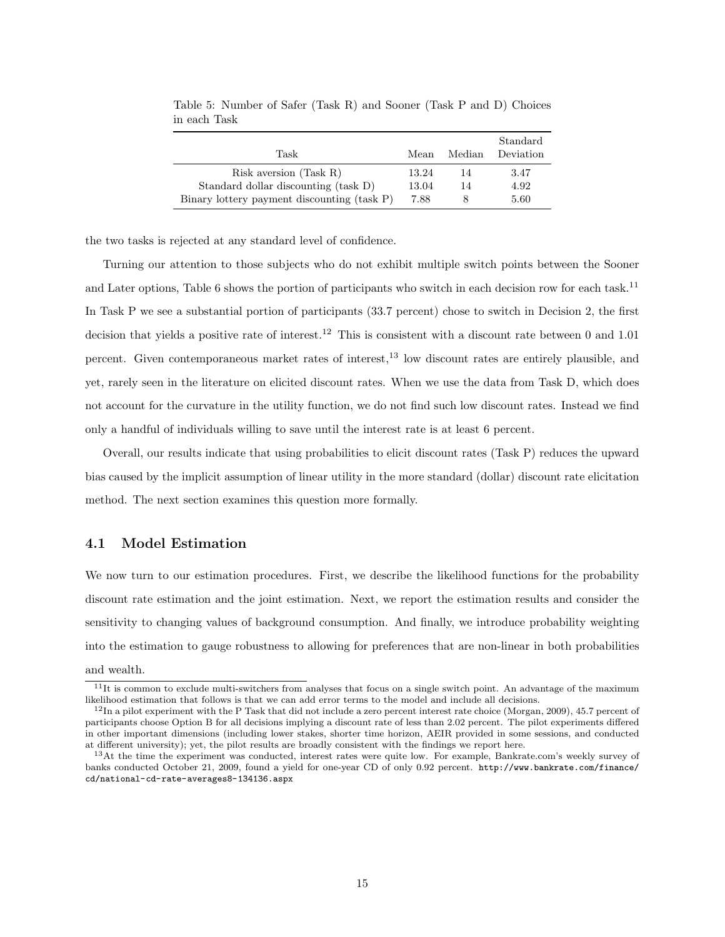| Task                                        | Mean  | Median | Standard<br>Deviation |
|---------------------------------------------|-------|--------|-----------------------|
| Risk aversion (Task R)                      | 13.24 | 14     | 3.47                  |
| Standard dollar discounting (task D)        | 13.04 | 14     | 4.92                  |
| Binary lottery payment discounting (task P) | 7.88  |        | 5.60                  |

Table 5: Number of Safer (Task R) and Sooner (Task P and D) Choices in each Task

the two tasks is rejected at any standard level of confidence.

Turning our attention to those subjects who do not exhibit multiple switch points between the Sooner and Later options, Table 6 shows the portion of participants who switch in each decision row for each task.<sup>11</sup> In Task P we see a substantial portion of participants (33.7 percent) chose to switch in Decision 2, the first decision that yields a positive rate of interest.<sup>12</sup> This is consistent with a discount rate between 0 and 1.01 percent. Given contemporaneous market rates of interest,<sup>13</sup> low discount rates are entirely plausible, and yet, rarely seen in the literature on elicited discount rates. When we use the data from Task D, which does not account for the curvature in the utility function, we do not find such low discount rates. Instead we find only a handful of individuals willing to save until the interest rate is at least 6 percent.

Overall, our results indicate that using probabilities to elicit discount rates (Task P) reduces the upward bias caused by the implicit assumption of linear utility in the more standard (dollar) discount rate elicitation method. The next section examines this question more formally.

### 4.1 Model Estimation

We now turn to our estimation procedures. First, we describe the likelihood functions for the probability discount rate estimation and the joint estimation. Next, we report the estimation results and consider the sensitivity to changing values of background consumption. And finally, we introduce probability weighting into the estimation to gauge robustness to allowing for preferences that are non-linear in both probabilities

and wealth.

 $11$ It is common to exclude multi-switchers from analyses that focus on a single switch point. An advantage of the maximum likelihood estimation that follows is that we can add error terms to the model and include all decisions.

 $^{12}$ In a pilot experiment with the P Task that did not include a zero percent interest rate choice (Morgan, 2009), 45.7 percent of participants choose Option B for all decisions implying a discount rate of less than 2.02 percent. The pilot experiments differed in other important dimensions (including lower stakes, shorter time horizon, AEIR provided in some sessions, and conducted at different university); yet, the pilot results are broadly consistent with the findings we report here.

<sup>&</sup>lt;sup>13</sup>At the time the experiment was conducted, interest rates were quite low. For example, Bankrate.com's weekly survey of banks conducted October 21, 2009, found a yield for one-year CD of only 0.92 percent. http://www.bankrate.com/finance/ cd/national-cd-rate-averages8-134136.aspx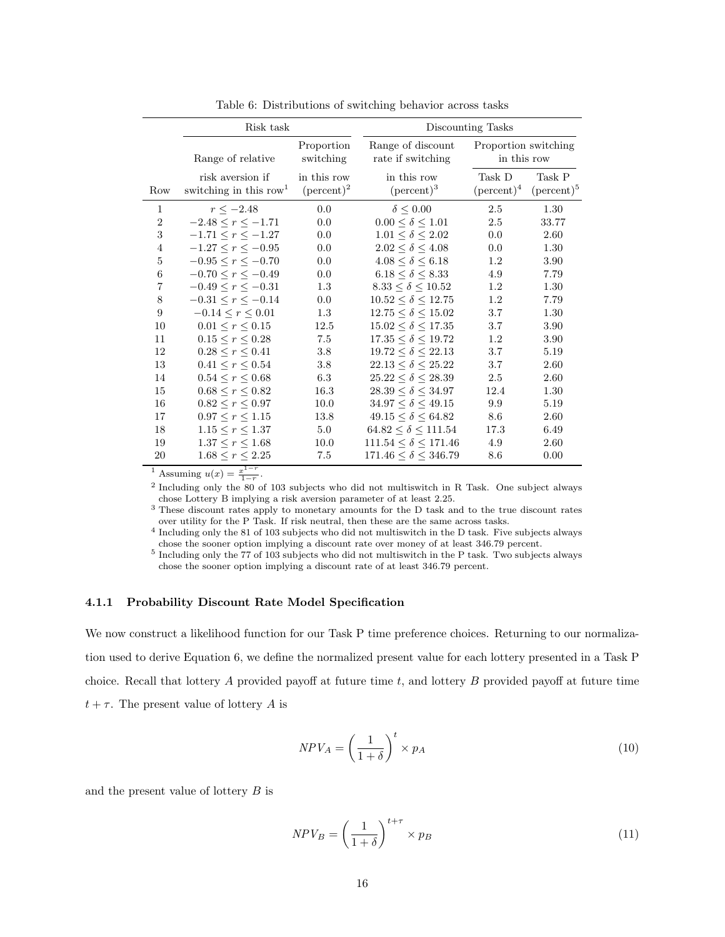|                | Risk task                                              |                                     |                                        | Discounting Tasks                   |                                |
|----------------|--------------------------------------------------------|-------------------------------------|----------------------------------------|-------------------------------------|--------------------------------|
|                | Range of relative                                      | Proportion<br>switching             | Range of discount<br>rate if switching | Proportion switching<br>in this row |                                |
| Row            | risk aversion if<br>switching in this row <sup>1</sup> | in this row<br>$(\text{percent})^2$ | in this row<br>$(\text{percent})^3$    | Task D<br>$(\text{percent})^4$      | Task P<br>$(\text{percent})^5$ |
| $\mathbf{1}$   | $r < -2.48$                                            | 0.0                                 | $\delta \leq 0.00$                     | 2.5                                 | 1.30                           |
| $\overline{2}$ | $-2.48 \le r \le -1.71$                                | 0.0                                 | $0.00 \leq \delta \leq 1.01$           | 2.5                                 | 33.77                          |
| 3              | $-1.71 \le r \le -1.27$                                | 0.0                                 | $1.01 \leq \delta \leq 2.02$           | 0.0                                 | 2.60                           |
| 4              | $-1.27 \le r \le -0.95$                                | 0.0                                 | $2.02 \leq \delta \leq 4.08$           | 0.0                                 | 1.30                           |
| 5              | $-0.95 \le r \le -0.70$                                | 0.0                                 | $4.08 \leq \delta \leq 6.18$           | 1.2                                 | 3.90                           |
| 6              | $-0.70 \le r \le -0.49$                                | 0.0                                 | $6.18 < \delta < 8.33$                 | 4.9                                 | 7.79                           |
| $\overline{7}$ | $-0.49 \le r \le -0.31$                                | 1.3                                 | $8.33 \leq \delta \leq 10.52$          | 1.2                                 | 1.30                           |
| 8              | $-0.31 \leq r \leq -0.14$                              | 0.0                                 | $10.52 \le \delta \le 12.75$           | $1.2\,$                             | 7.79                           |
| 9              | $-0.14 \le r \le 0.01$                                 | 1.3                                 | $12.75 \le \delta \le 15.02$           | 3.7                                 | 1.30                           |
| 10             | $0.01 \leq r \leq 0.15$                                | 12.5                                | $15.02 < \delta < 17.35$               | 3.7                                 | 3.90                           |
| 11             | $0.15 \le r \le 0.28$                                  | 7.5                                 | $17.35 \le \delta \le 19.72$           | 1.2                                 | 3.90                           |
| 12             | $0.28 \le r \le 0.41$                                  | $3.8\,$                             | $19.72 < \delta < 22.13$               | 3.7                                 | 5.19                           |
| 13             | $0.41 \leq r \leq 0.54$                                | 3.8                                 | $22.13 \le \delta \le 25.22$           | 3.7                                 | 2.60                           |
| 14             | $0.54 \leq r \leq 0.68$                                | 6.3                                 | $25.22 < \delta < 28.39$               | 2.5                                 | 2.60                           |
| 15             | $0.68 \leq r \leq 0.82$                                | 16.3                                | $28.39 < \delta < 34.97$               | 12.4                                | 1.30                           |
| 16             | $0.82 \le r \le 0.97$                                  | 10.0                                | $34.97 \le \delta \le 49.15$           | 9.9                                 | 5.19                           |
| 17             | $0.97 \leq r \leq 1.15$                                | 13.8                                | $49.15 < \delta < 64.82$               | 8.6                                 | 2.60                           |
| 18             | $1.15 \le r \le 1.37$                                  | 5.0                                 | $64.82 \le \delta \le 111.54$          | 17.3                                | 6.49                           |
| 19             | $1.37 \leq r \leq 1.68$                                | 10.0                                | $111.54 \le \delta \le 171.46$         | 4.9                                 | 2.60                           |
| 20             | $1.68 \le r \le 2.25$                                  | 7.5                                 | $171.46 \le \delta \le 346.79$         | 8.6                                 | 0.00                           |

Table 6: Distributions of switching behavior across tasks

<sup>1</sup> Assuming  $u(x) = \frac{x^{1-r}}{1-x}$  $1-r$ .

2 Including only the 80 of 103 subjects who did not multiswitch in R Task. One subject always chose Lottery B implying a risk aversion parameter of at least 2.25.

<sup>3</sup> These discount rates apply to monetary amounts for the D task and to the true discount rates over utility for the P Task. If risk neutral, then these are the same across tasks.

4 Including only the 81 of 103 subjects who did not multiswitch in the D task. Five subjects always chose the sooner option implying a discount rate over money of at least 346.79 percent.

<sup>5</sup> Including only the 77 of 103 subjects who did not multiswitch in the P task. Two subjects always chose the sooner option implying a discount rate of at least 346.79 percent.

#### 4.1.1 Probability Discount Rate Model Specification

We now construct a likelihood function for our Task P time preference choices. Returning to our normalization used to derive Equation 6, we define the normalized present value for each lottery presented in a Task P choice. Recall that lottery A provided payoff at future time  $t$ , and lottery B provided payoff at future time  $t + \tau$ . The present value of lottery A is

$$
NPV_A = \left(\frac{1}{1+\delta}\right)^t \times p_A \tag{10}
$$

and the present value of lottery  $B$  is

$$
NPV_B = \left(\frac{1}{1+\delta}\right)^{t+\tau} \times p_B \tag{11}
$$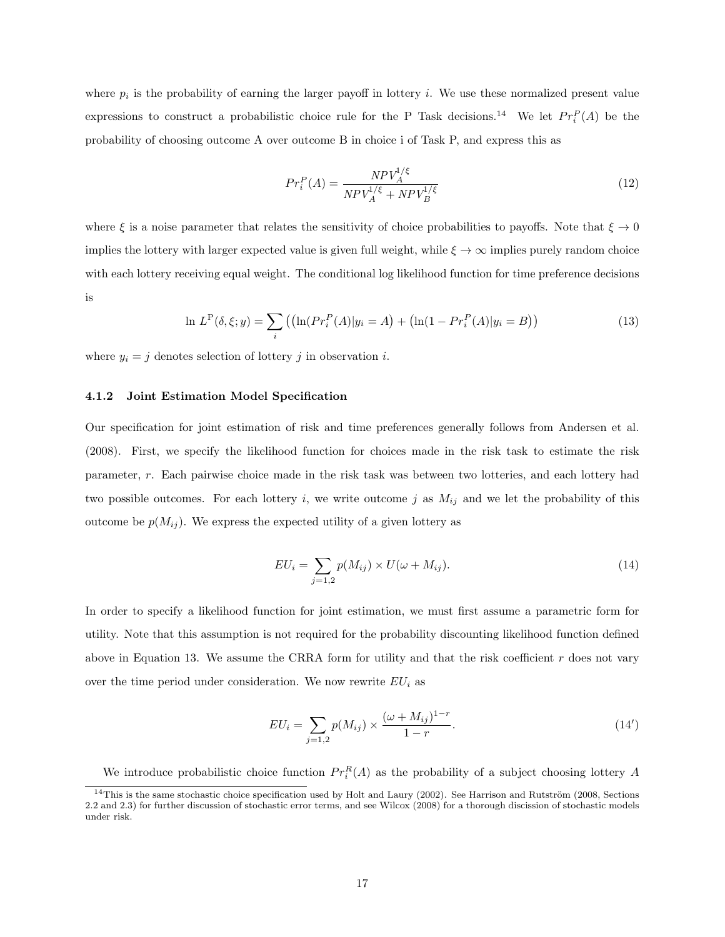where  $p_i$  is the probability of earning the larger payoff in lottery *i*. We use these normalized present value expressions to construct a probabilistic choice rule for the P Task decisions.<sup>14</sup> We let  $Pr_i^P(A)$  be the probability of choosing outcome A over outcome B in choice i of Task P, and express this as

$$
Pr_i^P(A) = \frac{NPV_A^{1/\xi}}{NPV_A^{1/\xi} + NPV_B^{1/\xi}}
$$
\n(12)

where  $\xi$  is a noise parameter that relates the sensitivity of choice probabilities to payoffs. Note that  $\xi \to 0$ implies the lottery with larger expected value is given full weight, while  $\xi \to \infty$  implies purely random choice with each lottery receiving equal weight. The conditional log likelihood function for time preference decisions is

$$
\ln L^{P}(\delta, \xi; y) = \sum_{i} \left( \left( \ln(Pr_{i}^{P}(A)|y_{i} = A) + \left( \ln(1 - Pr_{i}^{P}(A)|y_{i} = B) \right) \right) \right)
$$
(13)

where  $y_i = j$  denotes selection of lottery j in observation i.

#### 4.1.2 Joint Estimation Model Specification

Our specification for joint estimation of risk and time preferences generally follows from Andersen et al. (2008). First, we specify the likelihood function for choices made in the risk task to estimate the risk parameter, r. Each pairwise choice made in the risk task was between two lotteries, and each lottery had two possible outcomes. For each lottery i, we write outcome j as  $M_{ij}$  and we let the probability of this outcome be  $p(M_{ij})$ . We express the expected utility of a given lottery as

$$
EU_i = \sum_{j=1,2} p(M_{ij}) \times U(\omega + M_{ij}).
$$
\n(14)

In order to specify a likelihood function for joint estimation, we must first assume a parametric form for utility. Note that this assumption is not required for the probability discounting likelihood function defined above in Equation 13. We assume the CRRA form for utility and that the risk coefficient  $r$  does not vary over the time period under consideration. We now rewrite  $EU_i$  as

$$
EU_i = \sum_{j=1,2} p(M_{ij}) \times \frac{(\omega + M_{ij})^{1-r}}{1-r}.
$$
\n(14')

We introduce probabilistic choice function  $Pr_i^R(A)$  as the probability of a subject choosing lottery A

 $14$ This is the same stochastic choice specification used by Holt and Laury (2002). See Harrison and Rutström (2008, Sections 2.2 and 2.3) for further discussion of stochastic error terms, and see Wilcox (2008) for a thorough discission of stochastic models under risk.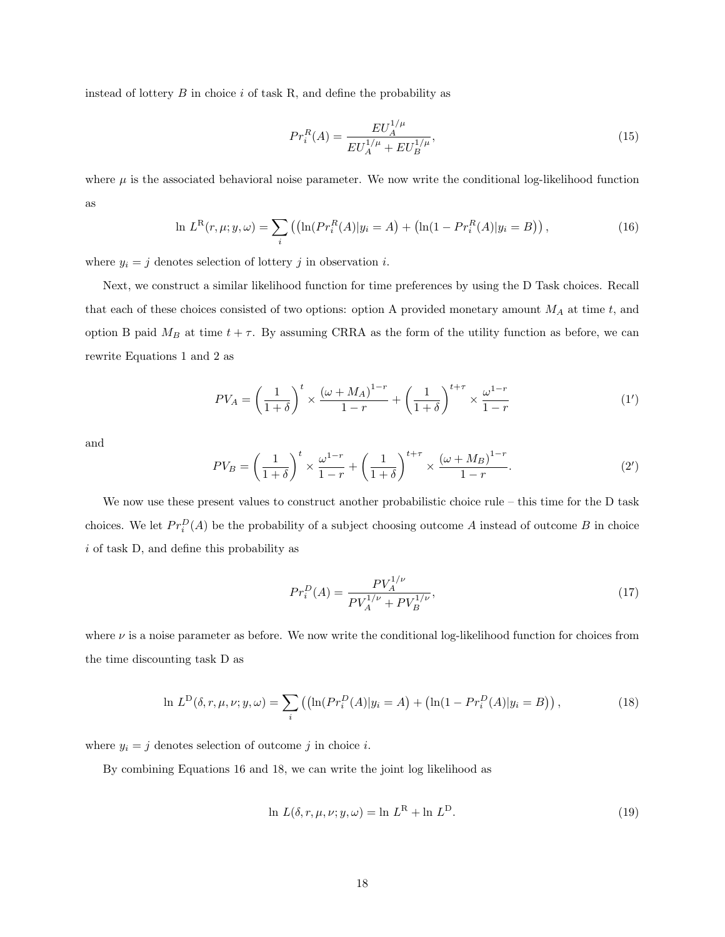instead of lottery  $B$  in choice  $i$  of task R, and define the probability as

$$
Pr_i^R(A) = \frac{EU_A^{1/\mu}}{EU_A^{1/\mu} + EU_B^{1/\mu}},\tag{15}
$$

where  $\mu$  is the associated behavioral noise parameter. We now write the conditional log-likelihood function as

$$
\ln L^{R}(r, \mu; y, \omega) = \sum_{i} \left( \left( \ln(Pr_{i}^{R}(A)|y_{i} = A) + \left( \ln(1 - Pr_{i}^{R}(A)|y_{i} = B) \right) \right), \right)
$$
(16)

where  $y_i = j$  denotes selection of lottery j in observation i.

Next, we construct a similar likelihood function for time preferences by using the D Task choices. Recall that each of these choices consisted of two options: option A provided monetary amount  $M_A$  at time t, and option B paid  $M_B$  at time  $t + \tau$ . By assuming CRRA as the form of the utility function as before, we can rewrite Equations 1 and 2 as

$$
PV_A = \left(\frac{1}{1+\delta}\right)^t \times \frac{(\omega + M_A)^{1-r}}{1-r} + \left(\frac{1}{1+\delta}\right)^{t+\tau} \times \frac{\omega^{1-r}}{1-r}
$$
(1')

and

$$
PV_B = \left(\frac{1}{1+\delta}\right)^t \times \frac{\omega^{1-r}}{1-r} + \left(\frac{1}{1+\delta}\right)^{t+\tau} \times \frac{\left(\omega + M_B\right)^{1-r}}{1-r}.\tag{2'}
$$

We now use these present values to construct another probabilistic choice rule – this time for the D task choices. We let  $Pr_i^D(A)$  be the probability of a subject choosing outcome A instead of outcome B in choice i of task D, and define this probability as

$$
Pr_i^D(A) = \frac{PV_A^{1/\nu}}{PV_A^{1/\nu} + PV_B^{1/\nu}},\tag{17}
$$

where  $\nu$  is a noise parameter as before. We now write the conditional log-likelihood function for choices from the time discounting task D as

$$
\ln L^{D}(\delta, r, \mu, \nu; y, \omega) = \sum_{i} \left( \left( \ln(Pr_{i}^{D}(A)|y_{i} = A) + \left( \ln(1 - Pr_{i}^{D}(A)|y_{i} = B) \right) \right), \right)
$$
(18)

where  $y_i = j$  denotes selection of outcome j in choice i.

By combining Equations 16 and 18, we can write the joint log likelihood as

$$
\ln L(\delta, r, \mu, \nu; y, \omega) = \ln L^{R} + \ln L^{D}.
$$
\n(19)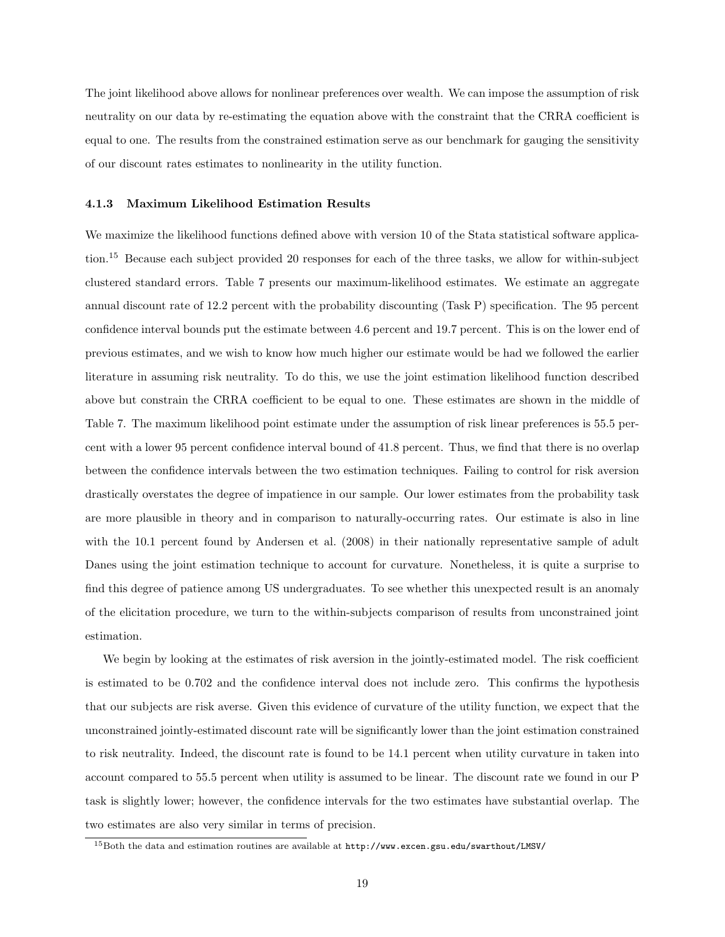The joint likelihood above allows for nonlinear preferences over wealth. We can impose the assumption of risk neutrality on our data by re-estimating the equation above with the constraint that the CRRA coefficient is equal to one. The results from the constrained estimation serve as our benchmark for gauging the sensitivity of our discount rates estimates to nonlinearity in the utility function.

#### 4.1.3 Maximum Likelihood Estimation Results

We maximize the likelihood functions defined above with version 10 of the Stata statistical software application.<sup>15</sup> Because each subject provided 20 responses for each of the three tasks, we allow for within-subject clustered standard errors. Table 7 presents our maximum-likelihood estimates. We estimate an aggregate annual discount rate of 12.2 percent with the probability discounting (Task P) specification. The 95 percent confidence interval bounds put the estimate between 4.6 percent and 19.7 percent. This is on the lower end of previous estimates, and we wish to know how much higher our estimate would be had we followed the earlier literature in assuming risk neutrality. To do this, we use the joint estimation likelihood function described above but constrain the CRRA coefficient to be equal to one. These estimates are shown in the middle of Table 7. The maximum likelihood point estimate under the assumption of risk linear preferences is 55.5 percent with a lower 95 percent confidence interval bound of 41.8 percent. Thus, we find that there is no overlap between the confidence intervals between the two estimation techniques. Failing to control for risk aversion drastically overstates the degree of impatience in our sample. Our lower estimates from the probability task are more plausible in theory and in comparison to naturally-occurring rates. Our estimate is also in line with the 10.1 percent found by Andersen et al. (2008) in their nationally representative sample of adult Danes using the joint estimation technique to account for curvature. Nonetheless, it is quite a surprise to find this degree of patience among US undergraduates. To see whether this unexpected result is an anomaly of the elicitation procedure, we turn to the within-subjects comparison of results from unconstrained joint estimation.

We begin by looking at the estimates of risk aversion in the jointly-estimated model. The risk coefficient is estimated to be 0.702 and the confidence interval does not include zero. This confirms the hypothesis that our subjects are risk averse. Given this evidence of curvature of the utility function, we expect that the unconstrained jointly-estimated discount rate will be significantly lower than the joint estimation constrained to risk neutrality. Indeed, the discount rate is found to be 14.1 percent when utility curvature in taken into account compared to 55.5 percent when utility is assumed to be linear. The discount rate we found in our P task is slightly lower; however, the confidence intervals for the two estimates have substantial overlap. The two estimates are also very similar in terms of precision.

<sup>15</sup>Both the data and estimation routines are available at http://www.excen.gsu.edu/swarthout/LMSV/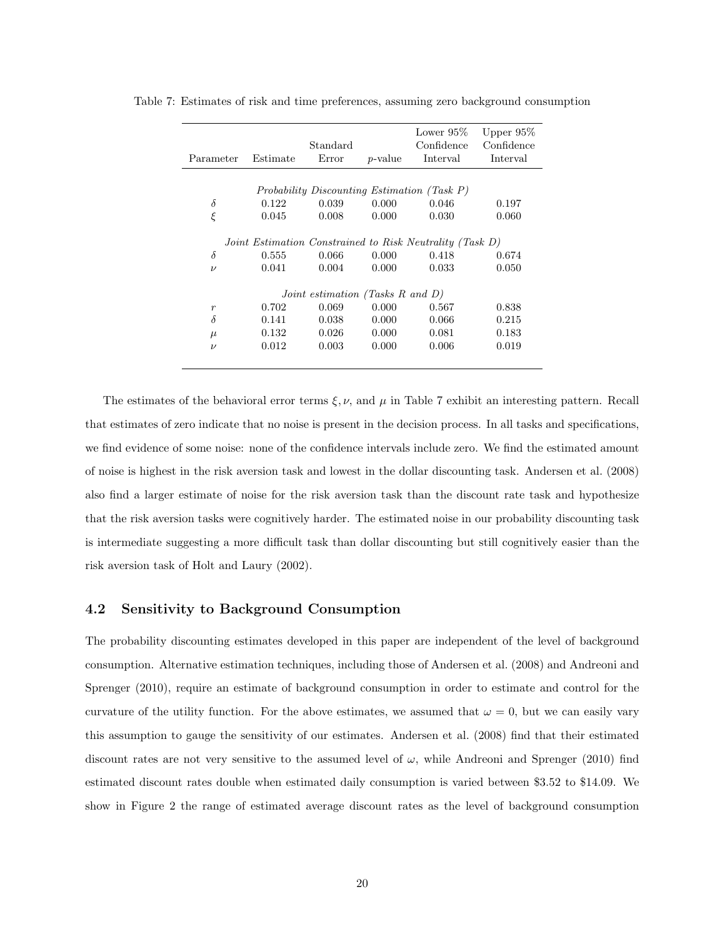| Parameter                    | Estimate       | Standard<br>Error                | <i>p</i> -value | Lower $95\%$<br>Confidence<br>Interval                                     | Upper $95\%$<br>Confidence<br>Interval |
|------------------------------|----------------|----------------------------------|-----------------|----------------------------------------------------------------------------|----------------------------------------|
|                              |                |                                  |                 |                                                                            |                                        |
|                              |                |                                  |                 | Probability Discounting Estimation (Task P)                                |                                        |
| $\delta$                     | 0.122          | 0.039                            | 0.000           | 0.046                                                                      | 0.197                                  |
| ξ                            | 0.045          | 0.008                            | 0.000           | 0.030                                                                      | 0.060                                  |
| $\delta$<br>$\overline{\nu}$ | 0.555<br>0.041 | 0.066<br>0.004                   | 0.000<br>0.000  | Joint Estimation Constrained to Risk Neutrality (Task D)<br>0.418<br>0.033 | 0.674<br>0.050                         |
|                              |                | Joint estimation (Tasks R and D) |                 |                                                                            |                                        |
| $\boldsymbol{r}$             | 0.702          | 0.069                            | 0.000           | 0.567                                                                      | 0.838                                  |
| $\delta$                     | 0.141          | 0.038                            | 0.000           | 0.066                                                                      | 0.215                                  |
| $\mu$                        | 0.132          | 0.026                            | 0.000           | 0.081                                                                      | 0.183                                  |
| $\boldsymbol{\nu}$           | 0.012          | 0.003                            | 0.000           | 0.006                                                                      | 0.019                                  |
|                              |                |                                  |                 |                                                                            |                                        |

Table 7: Estimates of risk and time preferences, assuming zero background consumption

The estimates of the behavioral error terms  $\xi, \nu$ , and  $\mu$  in Table 7 exhibit an interesting pattern. Recall that estimates of zero indicate that no noise is present in the decision process. In all tasks and specifications, we find evidence of some noise: none of the confidence intervals include zero. We find the estimated amount of noise is highest in the risk aversion task and lowest in the dollar discounting task. Andersen et al. (2008) also find a larger estimate of noise for the risk aversion task than the discount rate task and hypothesize that the risk aversion tasks were cognitively harder. The estimated noise in our probability discounting task is intermediate suggesting a more difficult task than dollar discounting but still cognitively easier than the risk aversion task of Holt and Laury (2002).

### 4.2 Sensitivity to Background Consumption

The probability discounting estimates developed in this paper are independent of the level of background consumption. Alternative estimation techniques, including those of Andersen et al. (2008) and Andreoni and Sprenger (2010), require an estimate of background consumption in order to estimate and control for the curvature of the utility function. For the above estimates, we assumed that  $\omega = 0$ , but we can easily vary this assumption to gauge the sensitivity of our estimates. Andersen et al. (2008) find that their estimated discount rates are not very sensitive to the assumed level of  $\omega$ , while Andreoni and Sprenger (2010) find estimated discount rates double when estimated daily consumption is varied between \$3.52 to \$14.09. We show in Figure 2 the range of estimated average discount rates as the level of background consumption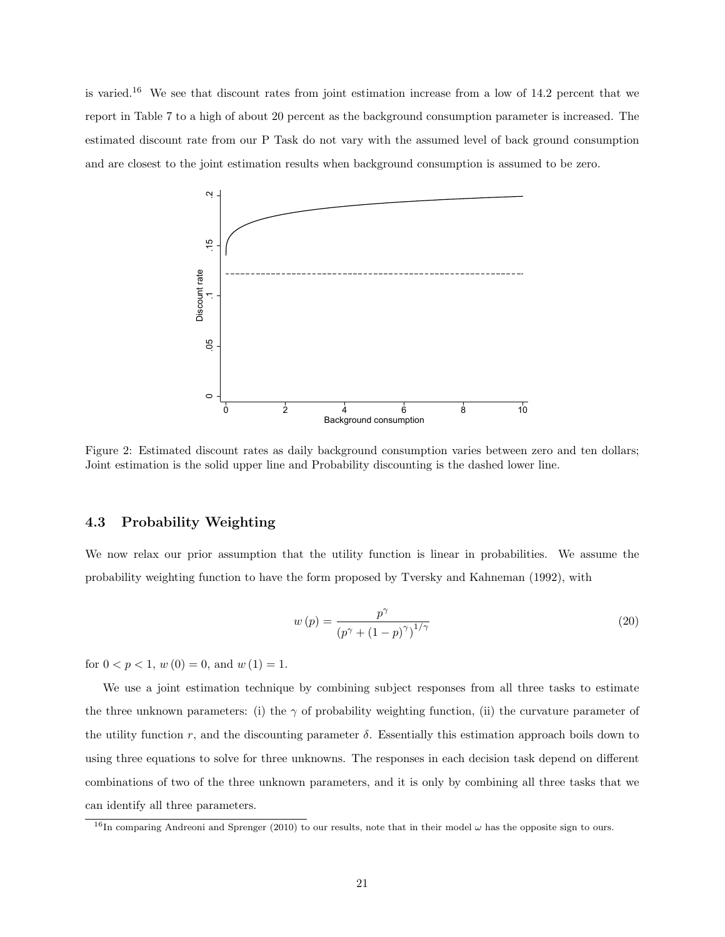is varied.<sup>16</sup> We see that discount rates from joint estimation increase from a low of 14.2 percent that we report in Table 7 to a high of about 20 percent as the background consumption parameter is increased. The estimated discount rate from our P Task do not vary with the assumed level of back ground consumption and are closest to the joint estimation results when background consumption is assumed to be zero.



Figure 2: Estimated discount rates as daily background consumption varies between zero and ten dollars; Joint estimation is the solid upper line and Probability discounting is the dashed lower line.

### 4.3 Probability Weighting

We now relax our prior assumption that the utility function is linear in probabilities. We assume the probability weighting function to have the form proposed by Tversky and Kahneman (1992), with

$$
w(p) = \frac{p^{\gamma}}{\left(p^{\gamma} + (1-p)^{\gamma}\right)^{1/\gamma}}
$$
\n(20)

for  $0 < p < 1$ ,  $w(0) = 0$ , and  $w(1) = 1$ .

We use a joint estimation technique by combining subject responses from all three tasks to estimate the three unknown parameters: (i) the  $\gamma$  of probability weighting function, (ii) the curvature parameter of the utility function r, and the discounting parameter  $\delta$ . Essentially this estimation approach boils down to using three equations to solve for three unknowns. The responses in each decision task depend on different combinations of two of the three unknown parameters, and it is only by combining all three tasks that we can identify all three parameters.

<sup>&</sup>lt;sup>16</sup>In comparing Andreoni and Sprenger (2010) to our results, note that in their model  $\omega$  has the opposite sign to ours.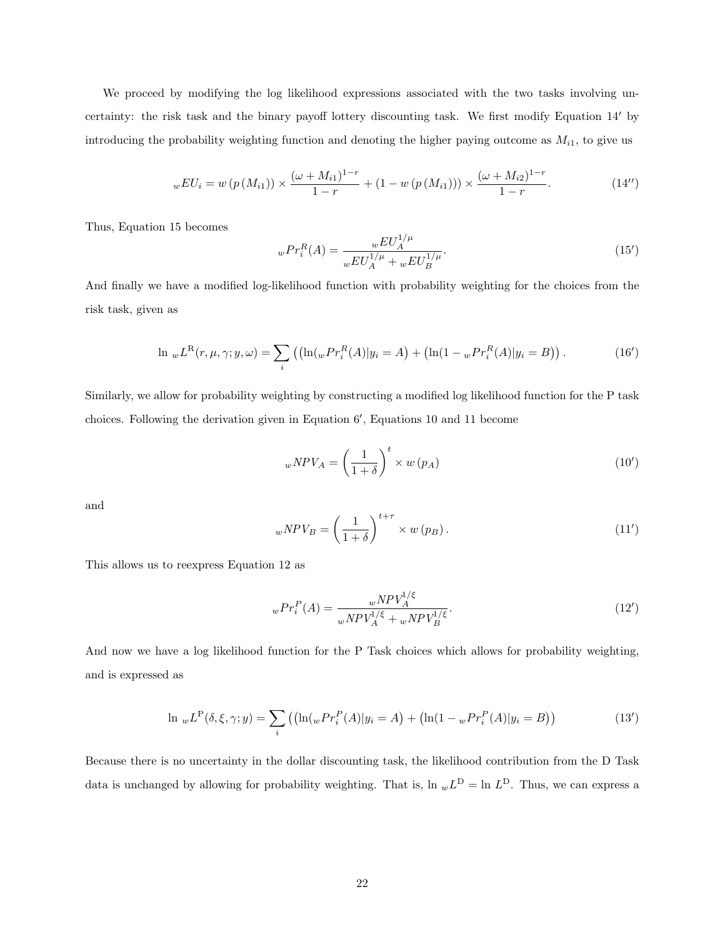We proceed by modifying the log likelihood expressions associated with the two tasks involving uncertainty: the risk task and the binary payoff lottery discounting task. We first modify Equation 14' by introducing the probability weighting function and denoting the higher paying outcome as  $M_{i1}$ , to give us

$$
wEU_i = w(p(M_{i1})) \times \frac{(\omega + M_{i1})^{1-r}}{1-r} + (1 - w(p(M_{i1}))) \times \frac{(\omega + M_{i2})^{1-r}}{1-r}.
$$
 (14'')

Thus, Equation 15 becomes

$$
{}_{w}Pr_{i}^{R}(A) = \frac{{}_{w}EU_{A}^{1/\mu}}{ {}_{w}EU_{A}^{1/\mu} + {}_{w}EU_{B}^{1/\mu}}.
$$
\n(15')

And finally we have a modified log-likelihood function with probability weighting for the choices from the risk task, given as

$$
\ln \, _wL^R(r, \mu, \gamma; y, \omega) = \sum_i \left( \left( \ln(w Pr_i^R(A) | y_i = A) + \left( \ln(1 - _w Pr_i^R(A) | y_i = B) \right) \right) \right). \tag{16'}
$$

Similarly, we allow for probability weighting by constructing a modified log likelihood function for the P task choices. Following the derivation given in Equation  $6'$ , Equations 10 and 11 become

$$
wNPV_A = \left(\frac{1}{1+\delta}\right)^t \times w(p_A) \tag{10'}
$$

and

$$
{}_{w}NPV_{B} = \left(\frac{1}{1+\delta}\right)^{t+\tau} \times w(p_{B}).
$$
\n(11')

This allows us to reexpress Equation 12 as

$$
{}_{w}Pr_{i}^{P}(A) = \frac{{}_{w}NPV_{A}^{1/\xi}}{{}_{w}NPV_{A}^{1/\xi} + {}_{w}NPV_{B}^{1/\xi}}.
$$
\n(12')

And now we have a log likelihood function for the P Task choices which allows for probability weighting, and is expressed as

$$
\ln \, _wL^P(\delta, \xi, \gamma; y) = \sum_i \left( \left( \ln(_w \, Pr_i^P(A) | y_i = A \right) + \left( \ln(1 - _w \, Pr_i^P(A) | y_i = B \right) \right) \tag{13'}
$$

Because there is no uncertainty in the dollar discounting task, the likelihood contribution from the D Task data is unchanged by allowing for probability weighting. That is,  $\ln w L^D = \ln L^D$ . Thus, we can express a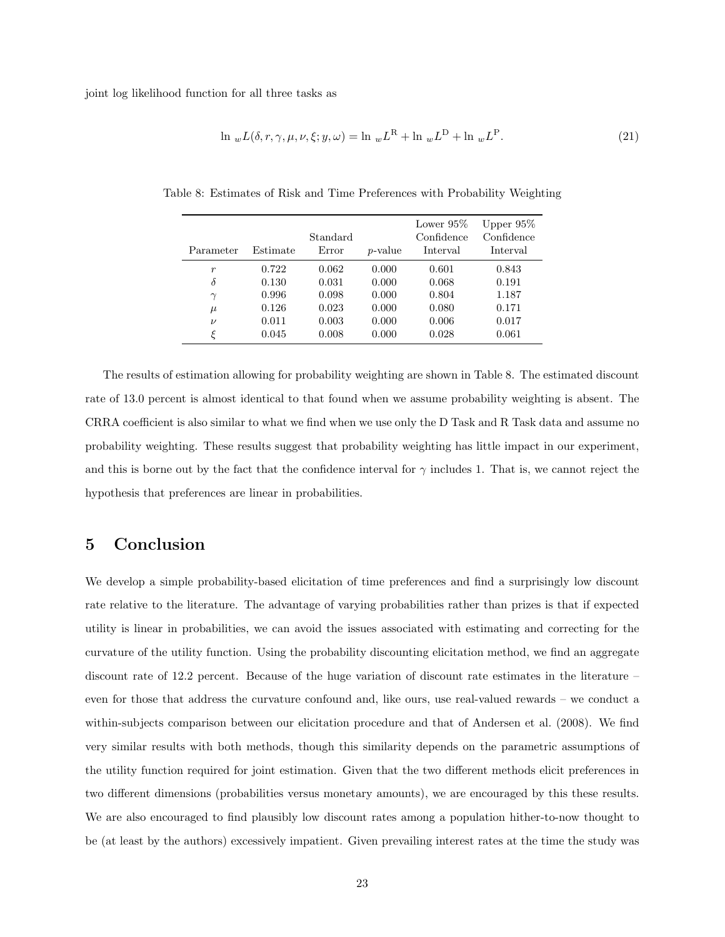joint log likelihood function for all three tasks as

$$
\ln \, _wL(\delta, r, \gamma, \mu, \nu, \xi; y, \omega) = \ln \, _wL^R + \ln \, _wL^D + \ln \, _wL^P. \tag{21}
$$

|                  |          | Standard |                 | Lower $95\%$<br>Confidence | Upper $95\%$<br>Confidence |
|------------------|----------|----------|-----------------|----------------------------|----------------------------|
| Parameter        | Estimate | Error    | <i>p</i> -value | Interval                   | Interval                   |
| $\boldsymbol{r}$ | 0.722    | 0.062    | 0.000           | 0.601                      | 0.843                      |
| $\delta$         | 0.130    | 0.031    | 0.000           | 0.068                      | 0.191                      |
| $\gamma$         | 0.996    | 0.098    | 0.000           | 0.804                      | 1.187                      |
| $\mu$            | 0.126    | 0.023    | 0.000           | 0.080                      | 0.171                      |
| $\nu$            | 0.011    | 0.003    | 0.000           | 0.006                      | 0.017                      |
| ξ                | 0.045    | 0.008    | 0.000           | 0.028                      | 0.061                      |

Table 8: Estimates of Risk and Time Preferences with Probability Weighting

The results of estimation allowing for probability weighting are shown in Table 8. The estimated discount rate of 13.0 percent is almost identical to that found when we assume probability weighting is absent. The CRRA coefficient is also similar to what we find when we use only the D Task and R Task data and assume no probability weighting. These results suggest that probability weighting has little impact in our experiment, and this is borne out by the fact that the confidence interval for  $\gamma$  includes 1. That is, we cannot reject the hypothesis that preferences are linear in probabilities.

## 5 Conclusion

We develop a simple probability-based elicitation of time preferences and find a surprisingly low discount rate relative to the literature. The advantage of varying probabilities rather than prizes is that if expected utility is linear in probabilities, we can avoid the issues associated with estimating and correcting for the curvature of the utility function. Using the probability discounting elicitation method, we find an aggregate discount rate of 12.2 percent. Because of the huge variation of discount rate estimates in the literature – even for those that address the curvature confound and, like ours, use real-valued rewards – we conduct a within-subjects comparison between our elicitation procedure and that of Andersen et al. (2008). We find very similar results with both methods, though this similarity depends on the parametric assumptions of the utility function required for joint estimation. Given that the two different methods elicit preferences in two different dimensions (probabilities versus monetary amounts), we are encouraged by this these results. We are also encouraged to find plausibly low discount rates among a population hither-to-now thought to be (at least by the authors) excessively impatient. Given prevailing interest rates at the time the study was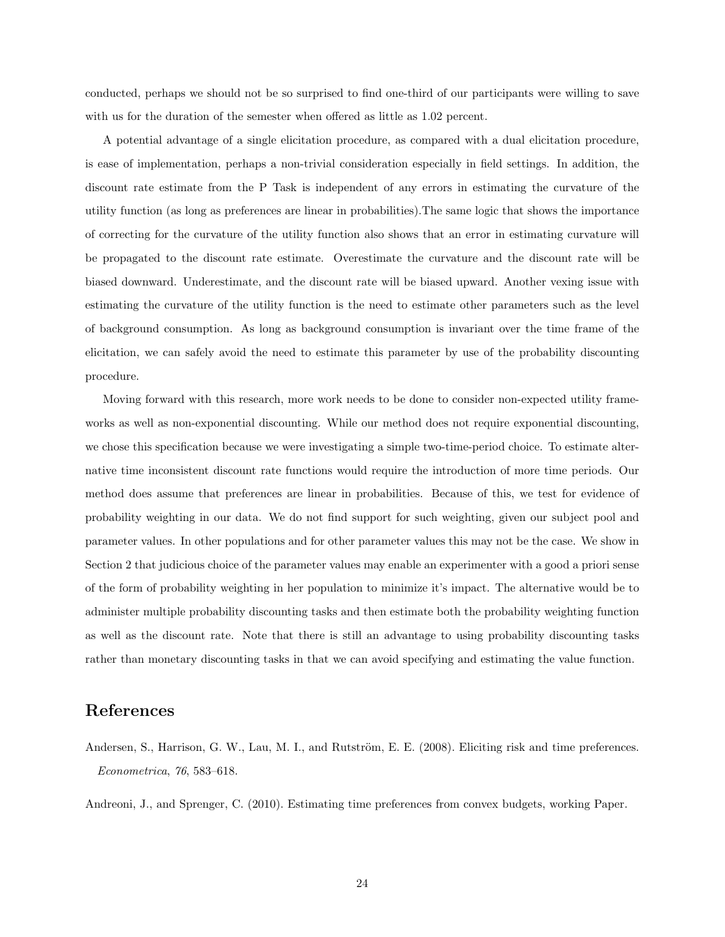conducted, perhaps we should not be so surprised to find one-third of our participants were willing to save with us for the duration of the semester when offered as little as  $1.02$  percent.

A potential advantage of a single elicitation procedure, as compared with a dual elicitation procedure, is ease of implementation, perhaps a non-trivial consideration especially in field settings. In addition, the discount rate estimate from the P Task is independent of any errors in estimating the curvature of the utility function (as long as preferences are linear in probabilities).The same logic that shows the importance of correcting for the curvature of the utility function also shows that an error in estimating curvature will be propagated to the discount rate estimate. Overestimate the curvature and the discount rate will be biased downward. Underestimate, and the discount rate will be biased upward. Another vexing issue with estimating the curvature of the utility function is the need to estimate other parameters such as the level of background consumption. As long as background consumption is invariant over the time frame of the elicitation, we can safely avoid the need to estimate this parameter by use of the probability discounting procedure.

Moving forward with this research, more work needs to be done to consider non-expected utility frameworks as well as non-exponential discounting. While our method does not require exponential discounting, we chose this specification because we were investigating a simple two-time-period choice. To estimate alternative time inconsistent discount rate functions would require the introduction of more time periods. Our method does assume that preferences are linear in probabilities. Because of this, we test for evidence of probability weighting in our data. We do not find support for such weighting, given our subject pool and parameter values. In other populations and for other parameter values this may not be the case. We show in Section 2 that judicious choice of the parameter values may enable an experimenter with a good a priori sense of the form of probability weighting in her population to minimize it's impact. The alternative would be to administer multiple probability discounting tasks and then estimate both the probability weighting function as well as the discount rate. Note that there is still an advantage to using probability discounting tasks rather than monetary discounting tasks in that we can avoid specifying and estimating the value function.

## References

Andersen, S., Harrison, G. W., Lau, M. I., and Rutström, E. E. (2008). Eliciting risk and time preferences. Econometrica, 76, 583–618.

Andreoni, J., and Sprenger, C. (2010). Estimating time preferences from convex budgets, working Paper.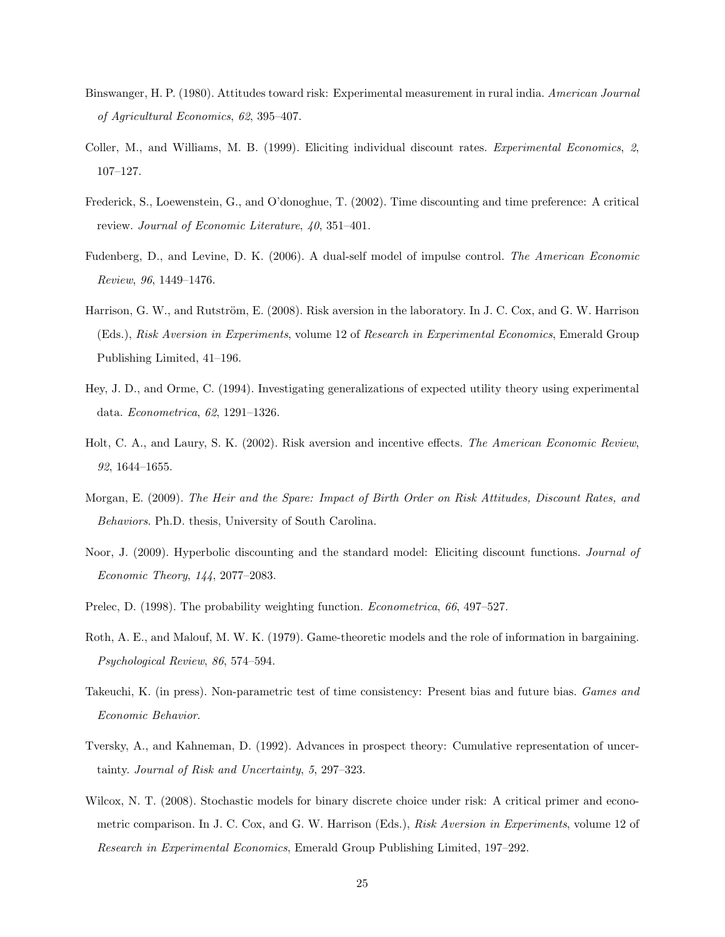- Binswanger, H. P. (1980). Attitudes toward risk: Experimental measurement in rural india. American Journal of Agricultural Economics, 62, 395–407.
- Coller, M., and Williams, M. B. (1999). Eliciting individual discount rates. Experimental Economics, 2, 107–127.
- Frederick, S., Loewenstein, G., and O'donoghue, T. (2002). Time discounting and time preference: A critical review. Journal of Economic Literature, 40, 351–401.
- Fudenberg, D., and Levine, D. K. (2006). A dual-self model of impulse control. The American Economic Review, 96, 1449–1476.
- Harrison, G. W., and Rutström, E. (2008). Risk aversion in the laboratory. In J. C. Cox, and G. W. Harrison (Eds.), Risk Aversion in Experiments, volume 12 of Research in Experimental Economics, Emerald Group Publishing Limited, 41–196.
- Hey, J. D., and Orme, C. (1994). Investigating generalizations of expected utility theory using experimental data. Econometrica, 62, 1291–1326.
- Holt, C. A., and Laury, S. K. (2002). Risk aversion and incentive effects. The American Economic Review, 92, 1644–1655.
- Morgan, E. (2009). The Heir and the Spare: Impact of Birth Order on Risk Attitudes, Discount Rates, and Behaviors. Ph.D. thesis, University of South Carolina.
- Noor, J. (2009). Hyperbolic discounting and the standard model: Eliciting discount functions. Journal of Economic Theory, 144, 2077–2083.
- Prelec, D. (1998). The probability weighting function. *Econometrica*, 66, 497–527.
- Roth, A. E., and Malouf, M. W. K. (1979). Game-theoretic models and the role of information in bargaining. Psychological Review, 86, 574–594.
- Takeuchi, K. (in press). Non-parametric test of time consistency: Present bias and future bias. Games and Economic Behavior.
- Tversky, A., and Kahneman, D. (1992). Advances in prospect theory: Cumulative representation of uncertainty. Journal of Risk and Uncertainty, 5, 297–323.
- Wilcox, N. T. (2008). Stochastic models for binary discrete choice under risk: A critical primer and econometric comparison. In J. C. Cox, and G. W. Harrison (Eds.), Risk Aversion in Experiments, volume 12 of Research in Experimental Economics, Emerald Group Publishing Limited, 197–292.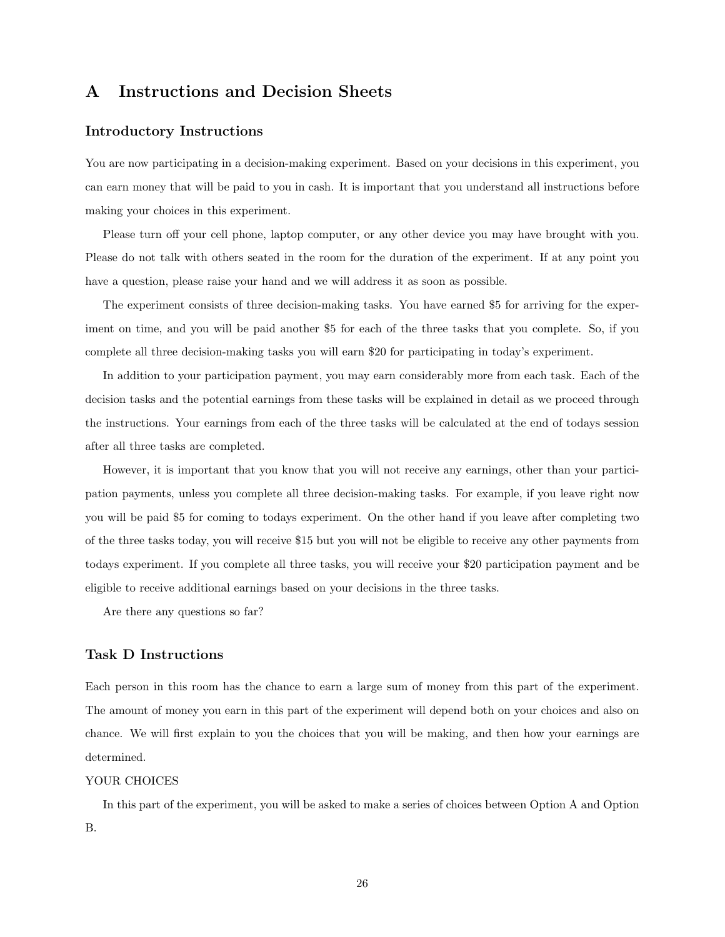## A Instructions and Decision Sheets

#### Introductory Instructions

You are now participating in a decision-making experiment. Based on your decisions in this experiment, you can earn money that will be paid to you in cash. It is important that you understand all instructions before making your choices in this experiment.

Please turn off your cell phone, laptop computer, or any other device you may have brought with you. Please do not talk with others seated in the room for the duration of the experiment. If at any point you have a question, please raise your hand and we will address it as soon as possible.

The experiment consists of three decision-making tasks. You have earned \$5 for arriving for the experiment on time, and you will be paid another \$5 for each of the three tasks that you complete. So, if you complete all three decision-making tasks you will earn \$20 for participating in today's experiment.

In addition to your participation payment, you may earn considerably more from each task. Each of the decision tasks and the potential earnings from these tasks will be explained in detail as we proceed through the instructions. Your earnings from each of the three tasks will be calculated at the end of todays session after all three tasks are completed.

However, it is important that you know that you will not receive any earnings, other than your participation payments, unless you complete all three decision-making tasks. For example, if you leave right now you will be paid \$5 for coming to todays experiment. On the other hand if you leave after completing two of the three tasks today, you will receive \$15 but you will not be eligible to receive any other payments from todays experiment. If you complete all three tasks, you will receive your \$20 participation payment and be eligible to receive additional earnings based on your decisions in the three tasks.

Are there any questions so far?

#### Task D Instructions

Each person in this room has the chance to earn a large sum of money from this part of the experiment. The amount of money you earn in this part of the experiment will depend both on your choices and also on chance. We will first explain to you the choices that you will be making, and then how your earnings are determined.

#### YOUR CHOICES

In this part of the experiment, you will be asked to make a series of choices between Option A and Option B.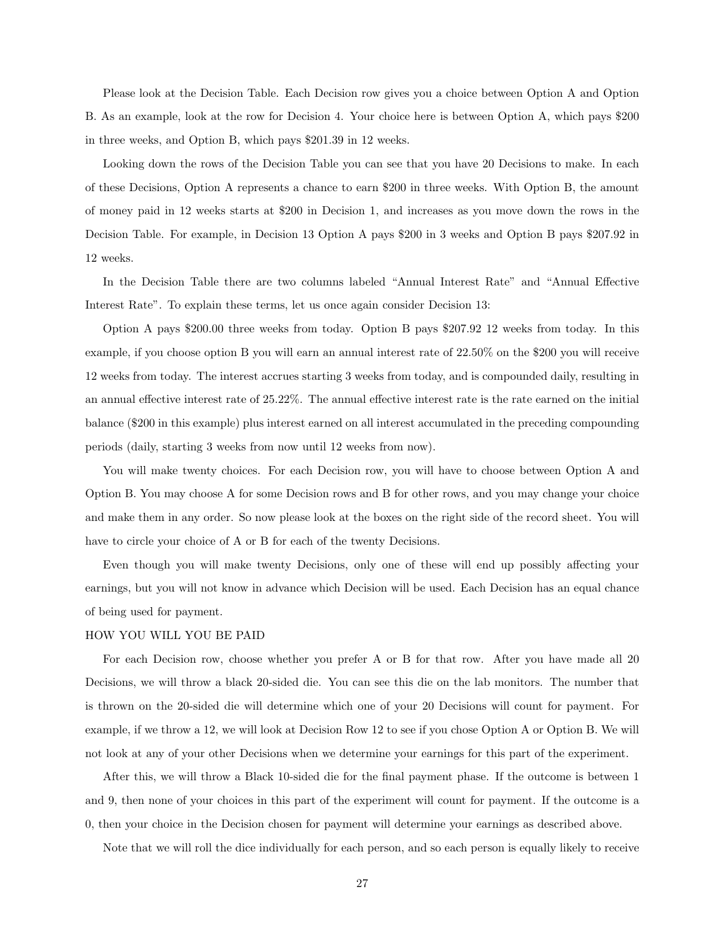Please look at the Decision Table. Each Decision row gives you a choice between Option A and Option B. As an example, look at the row for Decision 4. Your choice here is between Option A, which pays \$200 in three weeks, and Option B, which pays \$201.39 in 12 weeks.

Looking down the rows of the Decision Table you can see that you have 20 Decisions to make. In each of these Decisions, Option A represents a chance to earn \$200 in three weeks. With Option B, the amount of money paid in 12 weeks starts at \$200 in Decision 1, and increases as you move down the rows in the Decision Table. For example, in Decision 13 Option A pays \$200 in 3 weeks and Option B pays \$207.92 in 12 weeks.

In the Decision Table there are two columns labeled "Annual Interest Rate" and "Annual Effective Interest Rate". To explain these terms, let us once again consider Decision 13:

Option A pays \$200.00 three weeks from today. Option B pays \$207.92 12 weeks from today. In this example, if you choose option B you will earn an annual interest rate of 22.50% on the \$200 you will receive 12 weeks from today. The interest accrues starting 3 weeks from today, and is compounded daily, resulting in an annual effective interest rate of 25.22%. The annual effective interest rate is the rate earned on the initial balance (\$200 in this example) plus interest earned on all interest accumulated in the preceding compounding periods (daily, starting 3 weeks from now until 12 weeks from now).

You will make twenty choices. For each Decision row, you will have to choose between Option A and Option B. You may choose A for some Decision rows and B for other rows, and you may change your choice and make them in any order. So now please look at the boxes on the right side of the record sheet. You will have to circle your choice of A or B for each of the twenty Decisions.

Even though you will make twenty Decisions, only one of these will end up possibly affecting your earnings, but you will not know in advance which Decision will be used. Each Decision has an equal chance of being used for payment.

#### HOW YOU WILL YOU BE PAID

For each Decision row, choose whether you prefer A or B for that row. After you have made all 20 Decisions, we will throw a black 20-sided die. You can see this die on the lab monitors. The number that is thrown on the 20-sided die will determine which one of your 20 Decisions will count for payment. For example, if we throw a 12, we will look at Decision Row 12 to see if you chose Option A or Option B. We will not look at any of your other Decisions when we determine your earnings for this part of the experiment.

After this, we will throw a Black 10-sided die for the final payment phase. If the outcome is between 1 and 9, then none of your choices in this part of the experiment will count for payment. If the outcome is a 0, then your choice in the Decision chosen for payment will determine your earnings as described above.

Note that we will roll the dice individually for each person, and so each person is equally likely to receive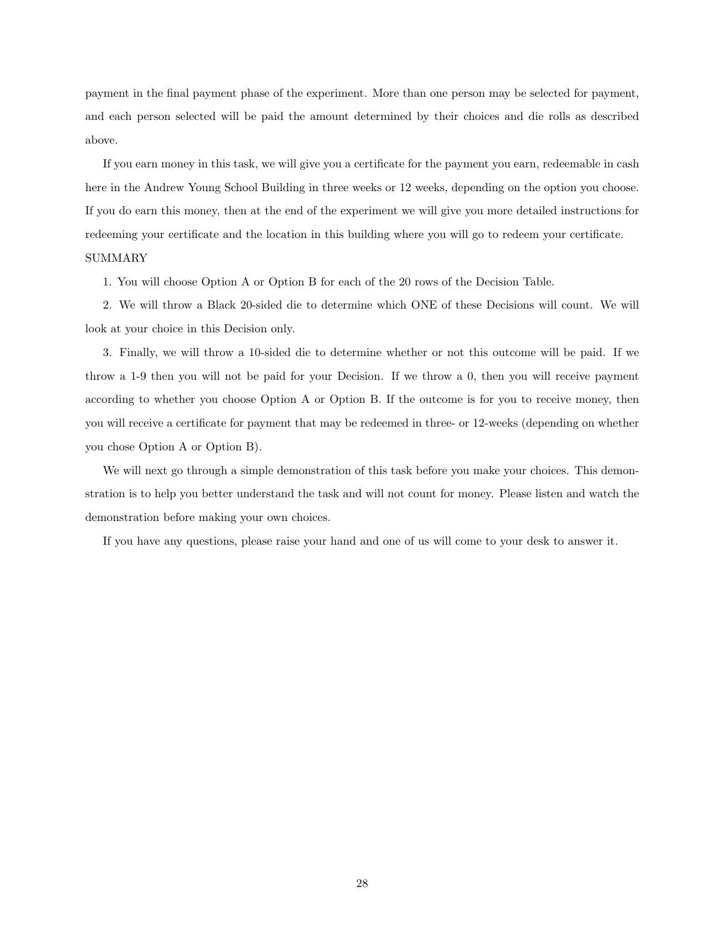payment in the final payment phase of the experiment. More than one person may be selected for payment, and each person selected will be paid the amount determined by their choices and die rolls as described above.

If you earn money in this task, we will give you a certificate for the payment you earn, redeemable in cash here in the Andrew Young School Building in three weeks or 12 weeks, depending on the option you choose. If you do earn this money, then at the end of the experiment we will give you more detailed instructions for redeeming your certificate and the location in this building where you will go to redeem your certificate. SUMMARY

1. You will choose Option A or Option B for each of the 20 rows of the Decision Table.

2. We will throw a Black 20-sided die to determine which ONE of these Decisions will count. We will look at your choice in this Decision only.

3. Finally, we will throw a 10-sided die to determine whether or not this outcome will be paid. If we throw a 1-9 then you will not be paid for your Decision. If we throw a 0, then you will receive payment according to whether you choose Option A or Option B. If the outcome is for you to receive money, then you will receive a certificate for payment that may be redeemed in three- or 12-weeks (depending on whether you chose Option A or Option B).

We will next go through a simple demonstration of this task before you make your choices. This demonstration is to help you better understand the task and will not count for money. Please listen and watch the demonstration before making your own choices.

If you have any questions, please raise your hand and one of us will come to your desk to answer it.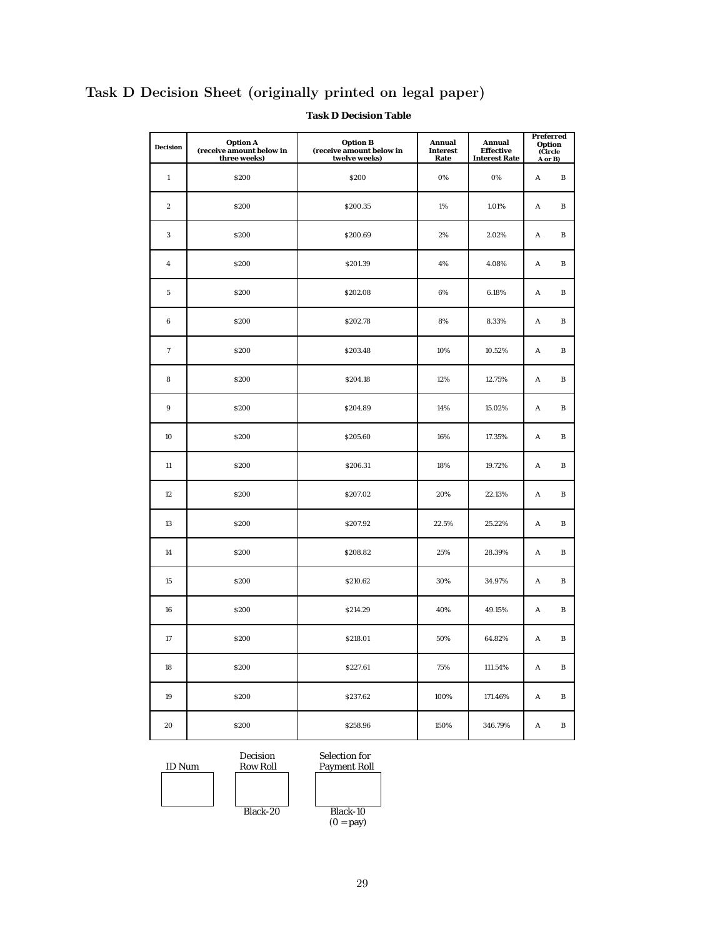# Task D Decision Sheet (originally printed on legal paper)

## **Task D Decision Table**

| <b>Decision</b>  | <b>Option A</b><br>(receive amount below in<br>three weeks) | <b>Option B</b><br>(receive amount below in<br>twelve weeks) | <b>Annual</b><br><b>Interest</b><br>Rate | <b>Annual</b><br><b>Effective</b><br><b>Interest Rate</b> | <b>Preferred</b><br><b>Option</b><br>(Circle<br>A or B) |              |
|------------------|-------------------------------------------------------------|--------------------------------------------------------------|------------------------------------------|-----------------------------------------------------------|---------------------------------------------------------|--------------|
| $\mathbf{1}$     | \$200                                                       | \$200                                                        | $0\%$                                    | 0%                                                        | $\boldsymbol{\mathsf{A}}$                               | $\, {\bf B}$ |
| $\boldsymbol{2}$ | \$200                                                       | \$200.35                                                     | 1%                                       | 1.01%                                                     | $\boldsymbol{\mathsf{A}}$                               | $\, {\bf B}$ |
| $\sqrt{3}$       | \$200                                                       | \$200.69                                                     | $2\%$                                    | 2.02%                                                     | $\mathbf A$                                             | $\, {\bf B}$ |
| $\boldsymbol{4}$ | \$200                                                       | \$201.39                                                     | 4%                                       | 4.08%                                                     | A                                                       | $\, {\bf B}$ |
| $\bf 5$          | \$200                                                       | \$202.08                                                     | $6\%$                                    | 6.18%                                                     | A                                                       | $\, {\bf B}$ |
| 6                | \$200                                                       | \$202.78                                                     | 8%                                       | 8.33%                                                     | A                                                       | В            |
| $\boldsymbol{7}$ | \$200                                                       | \$203.48                                                     | 10%                                      | 10.52%                                                    | A                                                       | В            |
| 8                | \$200                                                       | \$204.18                                                     | 12%                                      | 12.75%                                                    | $\mathbf A$                                             | $\, {\bf B}$ |
| $\boldsymbol{9}$ | \$200                                                       | \$204.89                                                     | 14%                                      | 15.02%                                                    | $\mathbf A$                                             | $\, {\bf B}$ |
| 10               | \$200                                                       | \$205.60                                                     | 16%                                      | 17.35%                                                    | $\boldsymbol{\mathsf{A}}$                               | $\, {\bf B}$ |
| 11               | \$200                                                       | \$206.31                                                     | 18%                                      | 19.72%                                                    | A                                                       | $\, {\bf B}$ |
| 12               | \$200                                                       | \$207.02                                                     | 20%                                      | 22.13%                                                    | A                                                       | B            |
| 13               | \$200                                                       | \$207.92                                                     | 22.5%                                    | 25.22%                                                    | A                                                       | B            |
| 14               | \$200                                                       | \$208.82                                                     | 25%                                      | 28.39%                                                    | $\mathbf{A}$                                            | B            |
| 15               | \$200                                                       | \$210.62                                                     | 30%                                      | 34.97%                                                    | $\boldsymbol{\mathsf{A}}$                               | $\, {\bf B}$ |
| 16               | \$200                                                       | \$214.29                                                     | 40%                                      | 49.15%                                                    | $\boldsymbol{\mathsf{A}}$                               | $\, {\bf B}$ |
| 17               | \$200                                                       | \$218.01                                                     | 50%                                      | 64.82%                                                    | $\boldsymbol{\mathsf{A}}$                               | $\, {\bf B}$ |
| 18               | \$200                                                       | \$227.61                                                     | 75%                                      | 111.54%                                                   | A                                                       | $\, {\bf B}$ |
| 19               | \$200                                                       | \$237.62                                                     | 100%                                     | 171.46%                                                   | A                                                       | B            |
| 20               | \$200                                                       | \$258.96                                                     | 150%                                     | 346.79%                                                   | A                                                       | B            |

ID Num



 Selection for Payment Roll



 Black-20 Black-10  $(0 = pay)$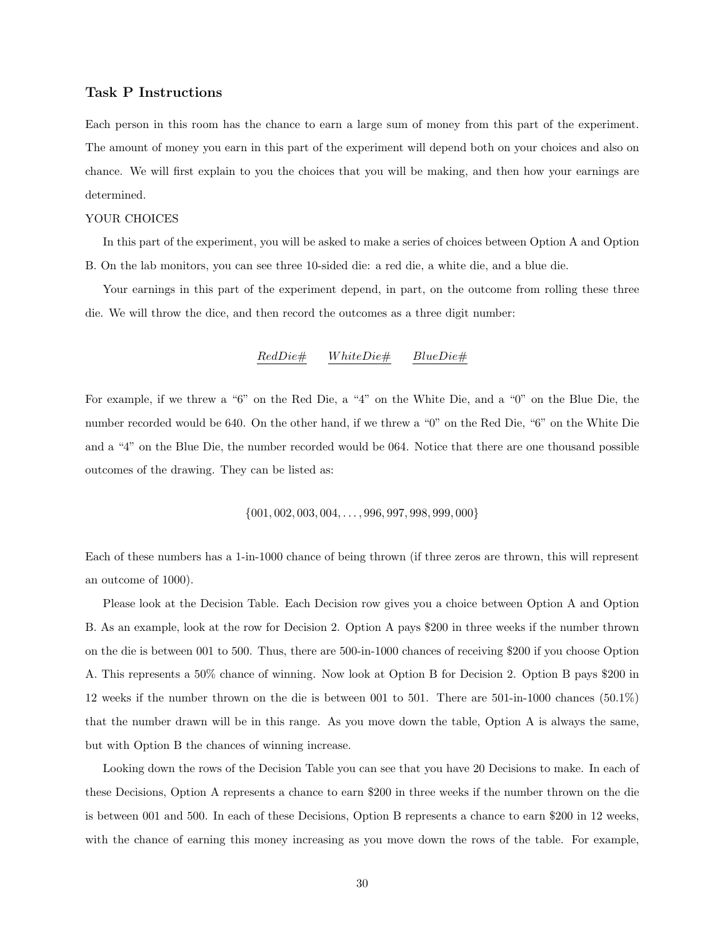## Task P Instructions

Each person in this room has the chance to earn a large sum of money from this part of the experiment. The amount of money you earn in this part of the experiment will depend both on your choices and also on chance. We will first explain to you the choices that you will be making, and then how your earnings are determined.

#### YOUR CHOICES

In this part of the experiment, you will be asked to make a series of choices between Option A and Option B. On the lab monitors, you can see three 10-sided die: a red die, a white die, and a blue die.

Your earnings in this part of the experiment depend, in part, on the outcome from rolling these three die. We will throw the dice, and then record the outcomes as a three digit number:

#### $RedDie\#$  WhiteDie# BlueDie#

For example, if we threw a "6" on the Red Die, a "4" on the White Die, and a "0" on the Blue Die, the number recorded would be 640. On the other hand, if we threw a "0" on the Red Die, "6" on the White Die and a "4" on the Blue Die, the number recorded would be 064. Notice that there are one thousand possible outcomes of the drawing. They can be listed as:

$$
\{001, 002, 003, 004, \ldots, 996, 997, 998, 999, 000\}
$$

Each of these numbers has a 1-in-1000 chance of being thrown (if three zeros are thrown, this will represent an outcome of 1000).

Please look at the Decision Table. Each Decision row gives you a choice between Option A and Option B. As an example, look at the row for Decision 2. Option A pays \$200 in three weeks if the number thrown on the die is between 001 to 500. Thus, there are 500-in-1000 chances of receiving \$200 if you choose Option A. This represents a 50% chance of winning. Now look at Option B for Decision 2. Option B pays \$200 in 12 weeks if the number thrown on the die is between 001 to 501. There are 501-in-1000 chances (50.1%) that the number drawn will be in this range. As you move down the table, Option A is always the same, but with Option B the chances of winning increase.

Looking down the rows of the Decision Table you can see that you have 20 Decisions to make. In each of these Decisions, Option A represents a chance to earn \$200 in three weeks if the number thrown on the die is between 001 and 500. In each of these Decisions, Option B represents a chance to earn \$200 in 12 weeks, with the chance of earning this money increasing as you move down the rows of the table. For example,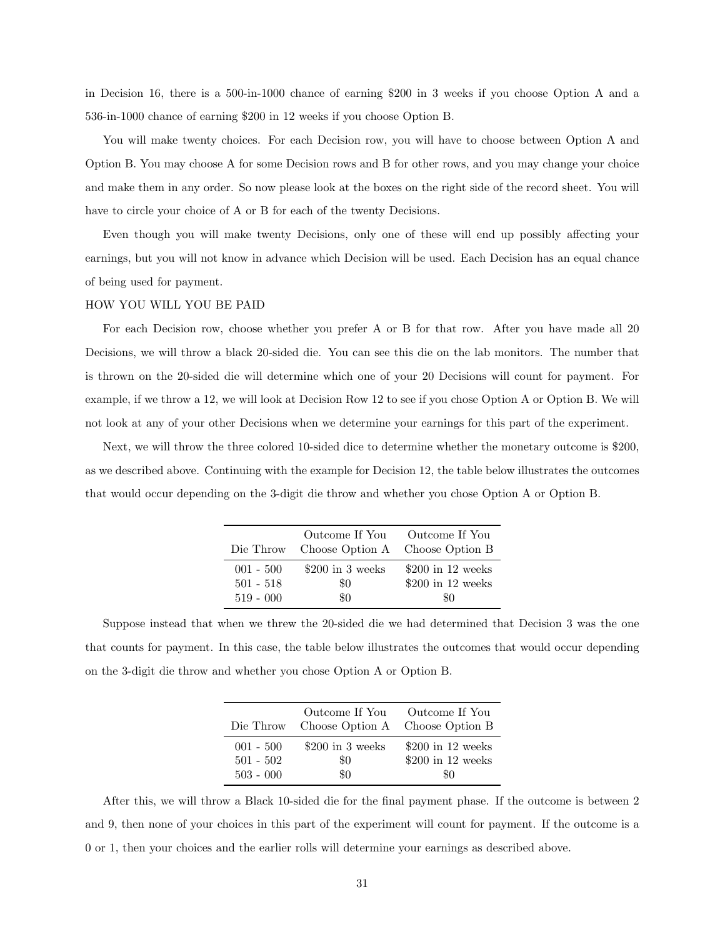in Decision 16, there is a 500-in-1000 chance of earning \$200 in 3 weeks if you choose Option A and a 536-in-1000 chance of earning \$200 in 12 weeks if you choose Option B.

You will make twenty choices. For each Decision row, you will have to choose between Option A and Option B. You may choose A for some Decision rows and B for other rows, and you may change your choice and make them in any order. So now please look at the boxes on the right side of the record sheet. You will have to circle your choice of A or B for each of the twenty Decisions.

Even though you will make twenty Decisions, only one of these will end up possibly affecting your earnings, but you will not know in advance which Decision will be used. Each Decision has an equal chance of being used for payment.

#### HOW YOU WILL YOU BE PAID

For each Decision row, choose whether you prefer A or B for that row. After you have made all 20 Decisions, we will throw a black 20-sided die. You can see this die on the lab monitors. The number that is thrown on the 20-sided die will determine which one of your 20 Decisions will count for payment. For example, if we throw a 12, we will look at Decision Row 12 to see if you chose Option A or Option B. We will not look at any of your other Decisions when we determine your earnings for this part of the experiment.

Next, we will throw the three colored 10-sided dice to determine whether the monetary outcome is \$200, as we described above. Continuing with the example for Decision 12, the table below illustrates the outcomes that would occur depending on the 3-digit die throw and whether you chose Option A or Option B.

|                            | Die Throw Choose Option A Choose Option B | Outcome If You Outcome If You |
|----------------------------|-------------------------------------------|-------------------------------|
| $001 - 500$                | $$200$ in 3 weeks                         | $$200$ in 12 weeks            |
| $501 - 518$<br>$519 - 000$ | \$0<br>ዩበ                                 | $$200$ in 12 weeks<br>\$0     |

Suppose instead that when we threw the 20-sided die we had determined that Decision 3 was the one that counts for payment. In this case, the table below illustrates the outcomes that would occur depending on the 3-digit die throw and whether you chose Option A or Option B.

|             | Die Throw Choose Option A Choose Option B | Outcome If You Outcome If You |
|-------------|-------------------------------------------|-------------------------------|
| $001 - 500$ | $$200$ in 3 weeks                         | $$200$ in 12 weeks            |
| $501 - 502$ | \$0                                       | $$200$ in 12 weeks            |
| $503 - 000$ | \$0                                       | \$0                           |

After this, we will throw a Black 10-sided die for the final payment phase. If the outcome is between 2 and 9, then none of your choices in this part of the experiment will count for payment. If the outcome is a 0 or 1, then your choices and the earlier rolls will determine your earnings as described above.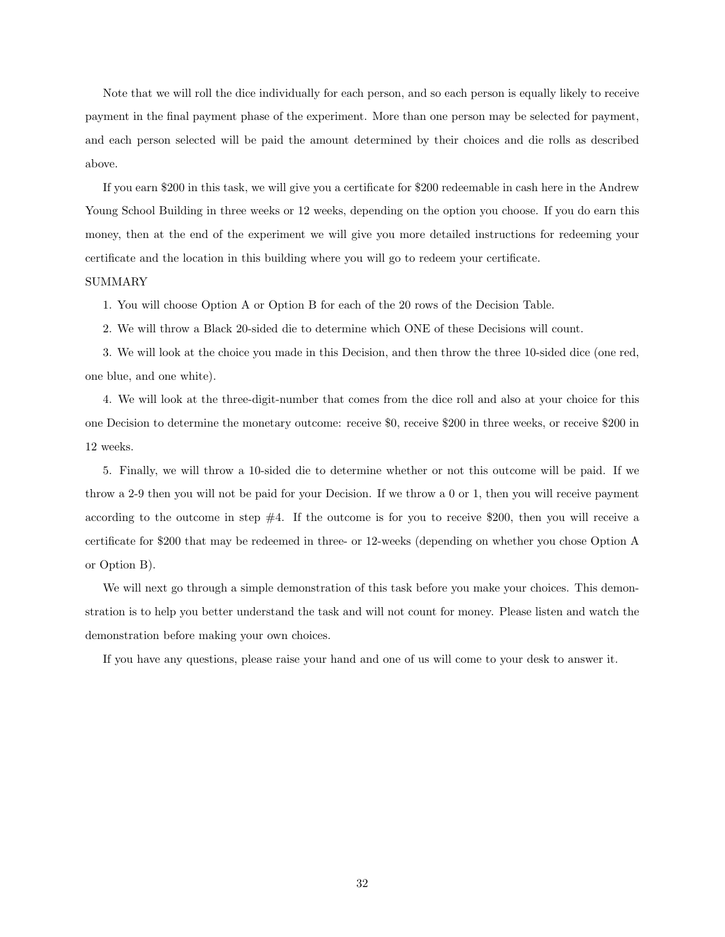Note that we will roll the dice individually for each person, and so each person is equally likely to receive payment in the final payment phase of the experiment. More than one person may be selected for payment, and each person selected will be paid the amount determined by their choices and die rolls as described above.

If you earn \$200 in this task, we will give you a certificate for \$200 redeemable in cash here in the Andrew Young School Building in three weeks or 12 weeks, depending on the option you choose. If you do earn this money, then at the end of the experiment we will give you more detailed instructions for redeeming your certificate and the location in this building where you will go to redeem your certificate.

#### SUMMARY

1. You will choose Option A or Option B for each of the 20 rows of the Decision Table.

2. We will throw a Black 20-sided die to determine which ONE of these Decisions will count.

3. We will look at the choice you made in this Decision, and then throw the three 10-sided dice (one red, one blue, and one white).

4. We will look at the three-digit-number that comes from the dice roll and also at your choice for this one Decision to determine the monetary outcome: receive \$0, receive \$200 in three weeks, or receive \$200 in 12 weeks.

5. Finally, we will throw a 10-sided die to determine whether or not this outcome will be paid. If we throw a 2-9 then you will not be paid for your Decision. If we throw a 0 or 1, then you will receive payment according to the outcome in step  $#4$ . If the outcome is for you to receive \$200, then you will receive a certificate for \$200 that may be redeemed in three- or 12-weeks (depending on whether you chose Option A or Option B).

We will next go through a simple demonstration of this task before you make your choices. This demonstration is to help you better understand the task and will not count for money. Please listen and watch the demonstration before making your own choices.

If you have any questions, please raise your hand and one of us will come to your desk to answer it.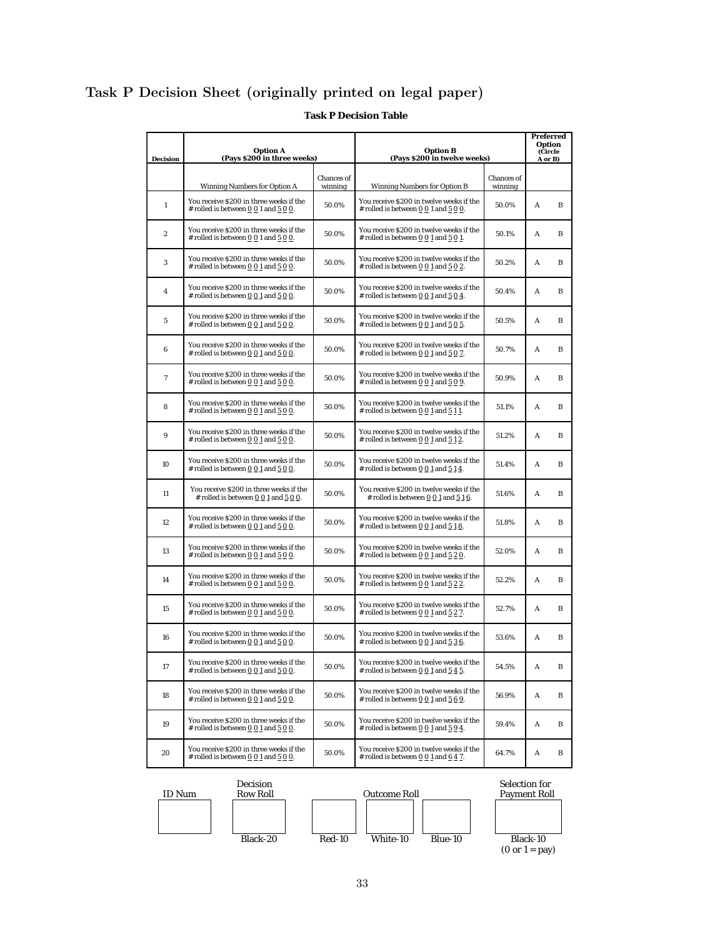# Task P Decision Sheet (originally printed on legal paper)

## **Task P Decision Table**

| Decision       | <b>Option A</b><br>(Pays \$200 in three weeks)                                                                                                               |                              | <b>Option B</b><br>(Pays \$200 in twelve weeks)                                                                                                               |                              |   | Preferred<br>Option<br>(Circle<br>A or B) |
|----------------|--------------------------------------------------------------------------------------------------------------------------------------------------------------|------------------------------|---------------------------------------------------------------------------------------------------------------------------------------------------------------|------------------------------|---|-------------------------------------------|
|                | Winning Numbers for Option A                                                                                                                                 | <b>Chances</b> of<br>winning | Winning Numbers for Option B                                                                                                                                  | <b>Chances</b> of<br>winning |   |                                           |
| $\mathbf{1}$   | You receive \$200 in three weeks if the<br># rolled is between $\underline{0} \underline{0} 1$ and $\underline{5} \underline{0} \underline{0}$ .             | 50.0%                        | You receive \$200 in twelve weeks if the<br># rolled is between <u>0 0</u> 1 and <u>5 0 0</u> .                                                               | 50.0%                        | A | В                                         |
| $\overline{2}$ | You receive \$200 in three weeks if the<br># rolled is between $\underline{0} \underline{0} 1$ and $\underline{5} \underline{0} \underline{0}$ .             | 50.0%                        | You receive \$200 in twelve weeks if the<br># rolled is between <u>0 0 1</u> and <u>5 0 1</u> .                                                               | 50.1%                        | A | в                                         |
| 3              | You receive \$200 in three weeks if the<br># rolled is between $\underline{0} \underline{0} \underline{1}$ and $\underline{5} \underline{0} \underline{0}$ . | 50.0%                        | You receive \$200 in twelve weeks if the<br># rolled is between <u>0 0 1</u> and <u>5 0 2</u> .                                                               | 50.2%                        | A | в                                         |
| 4              | You receive \$200 in three weeks if the<br># rolled is between $\underline{0} \underline{0} \underline{1}$ and $\underline{5} \underline{0} \underline{0}$ . | 50.0%                        | You receive \$200 in twelve weeks if the<br># rolled is between 0 0 1 and 5 0 4.                                                                              | 50.4%                        | A | в                                         |
| 5              | You receive \$200 in three weeks if the<br># rolled is between $\underline{0}\underline{0}\underline{1}$ and $\underline{5}\underline{0}\underline{0}$ .     | 50.0%                        | You receive \$200 in twelve weeks if the<br># rolled is between <u>0 0 1</u> and <u>5 0 5</u> .                                                               | 50.5%                        | A | в                                         |
| 6              | You receive \$200 in three weeks if the<br># rolled is between $\underline{0}\underline{0}\underline{1}$ and $\underline{5}\underline{0}\underline{0}$ .     | 50.0%                        | You receive \$200 in twelve weeks if the<br># rolled is between <u>0 0 1</u> and <u>5 0 7</u> .                                                               | 50.7%                        | A | в                                         |
| $\tau$         | You receive \$200 in three weeks if the<br># rolled is between $0 \underline{0} \underline{1}$ and $\underline{5} \underline{0} \underline{0}$ .             | 50.0%                        | You receive \$200 in twelve weeks if the<br># rolled is between <u>0 0 1</u> and <u>5 0 9</u> .                                                               | 50.9%                        | A | в                                         |
| 8              | You receive \$200 in three weeks if the<br># rolled is between 0 0 1 and 5 0 0.                                                                              | 50.0%                        | You receive \$200 in twelve weeks if the<br># rolled is between 0 0 1 and 5 1 1.                                                                              | 51.1%                        | A | в                                         |
| 9              | You receive \$200 in three weeks if the<br># rolled is between $\underline{0} \underline{0} \underline{1}$ and $\underline{5} \underline{0} \underline{0}$ . | 50.0%                        | You receive \$200 in twelve weeks if the<br># rolled is between <u>0 0 1</u> and <u>5 1 2</u> .                                                               | 51.2%                        | A | в                                         |
| 10             | You receive \$200 in three weeks if the<br># rolled is between $\underline{0} \underline{0} \underline{1}$ and $\underline{5} \underline{0} \underline{0}$ . | 50.0%                        | You receive \$200 in twelve weeks if the<br># rolled is between $0 \overline{0} \overline{1}$ and $5 \overline{1} \overline{4}$ .                             | 51.4%                        | A | В                                         |
| 11             | You receive \$200 in three weeks if the<br># rolled is between $\underline{0} \underline{0} \underline{1}$ and $\underline{5} \underline{0} \underline{0}$ . | 50.0%                        | You receive \$200 in twelve weeks if the<br># rolled is between $0 \overline{0} \overline{1}$ and $5 \overline{1} \overline{6}$ .                             | 51.6%                        | A | В                                         |
| 12             | You receive \$200 in three weeks if the<br># rolled is between $\underline{0}\underline{0}\underline{1}$ and $\underline{5}\underline{0}\underline{0}$ .     | 50.0%                        | You receive \$200 in twelve weeks if the<br># rolled is between <u>0 0 1</u> and <u>5 1 8</u> .                                                               | 51.8%                        | A | в                                         |
| 13             | You receive \$200 in three weeks if the<br># rolled is between $\underline{0}\underline{0}\underline{1}$ and $\underline{5}\underline{0}\underline{0}$ .     | 50.0%                        | You receive \$200 in twelve weeks if the<br># rolled is between <u>0 0 1</u> and <u>5 2 0</u> .                                                               | 52.0%                        | A | в                                         |
| 14             | You receive \$200 in three weeks if the<br># rolled is between $\underline{0}\underline{0}\underline{1}$ and $\underline{5}\underline{0}\underline{0}$ .     | 50.0%                        | You receive \$200 in twelve weeks if the<br># rolled is between <u>0 0</u> 1 and <u>5 2 2</u> .                                                               | 52.2%                        | A | в                                         |
| 15             | You receive \$200 in three weeks if the<br># rolled is between $\underline{0}\underline{0}\underline{1}$ and $\underline{5}\underline{0}\underline{0}$ .     | 50.0%                        | You receive \$200 in twelve weeks if the<br># rolled is between $0 \overline{0} \overline{1}$ and $5 \overline{2}$ $\overline{7}$ .                           | 52.7%                        | A | в                                         |
| 16             | You receive \$200 in three weeks if the<br># rolled is between 0 0 1 and 5 0 0.                                                                              | 50.0%                        | You receive \$200 in twelve weeks if the<br># rolled is between 0 0 1 and 5 3 6.                                                                              | 53.6%                        | A | в                                         |
| 17             | You receive \$200 in three weeks if the<br># rolled is between $\underline{0}\underline{0}\underline{1}$ and $\underline{5}\underline{0}\underline{0}.$      | 50.0%                        | You receive \$200 in twelve weeks if the<br># rolled is between <u>0 0 1</u> and <u>5 4 5</u> .                                                               | 54.5%                        | A | в                                         |
| 18             | You receive \$200 in three weeks if the<br># rolled is between $\underline{0} \underline{0} \underline{1}$ and $\underline{5} \underline{0} \underline{0}$ . | 50.0%                        | You receive \$200 in twelve weeks if the<br># rolled is between $\underline{0} \underline{0} \underline{1}$ and $\underline{5} \underline{6} \underline{9}$ . | 56.9%                        | A | В                                         |
| 19             | You receive \$200 in three weeks if the<br># rolled is between $0 \underline{0} \underline{1}$ and $\underline{5} \underline{0} \underline{0}$ .             | 50.0%                        | You receive \$200 in twelve weeks if the<br># rolled is between 0 0 1 and 5 9 4.                                                                              | 59.4%                        | A | В                                         |
| 20             | You receive \$200 in three weeks if the<br># rolled is between $0 \underline{0} \underline{1}$ and $\underline{5} \underline{0} \underline{0}$ .             | 50.0%                        | You receive \$200 in twelve weeks if the<br># rolled is between <u>0 0 1</u> and <u>6 4 7</u> .                                                               | 64.7%                        | A | в                                         |

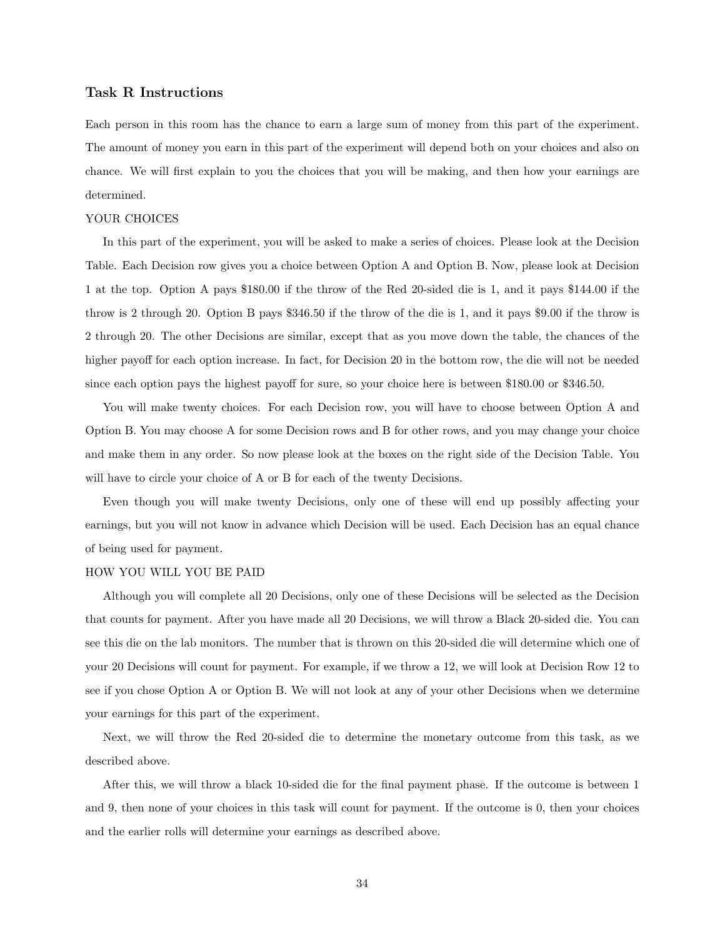#### Task R Instructions

Each person in this room has the chance to earn a large sum of money from this part of the experiment. The amount of money you earn in this part of the experiment will depend both on your choices and also on chance. We will first explain to you the choices that you will be making, and then how your earnings are determined.

#### YOUR CHOICES

In this part of the experiment, you will be asked to make a series of choices. Please look at the Decision Table. Each Decision row gives you a choice between Option A and Option B. Now, please look at Decision 1 at the top. Option A pays \$180.00 if the throw of the Red 20-sided die is 1, and it pays \$144.00 if the throw is 2 through 20. Option B pays \$346.50 if the throw of the die is 1, and it pays \$9.00 if the throw is 2 through 20. The other Decisions are similar, except that as you move down the table, the chances of the higher payoff for each option increase. In fact, for Decision 20 in the bottom row, the die will not be needed since each option pays the highest payoff for sure, so your choice here is between \$180.00 or \$346.50.

You will make twenty choices. For each Decision row, you will have to choose between Option A and Option B. You may choose A for some Decision rows and B for other rows, and you may change your choice and make them in any order. So now please look at the boxes on the right side of the Decision Table. You will have to circle your choice of A or B for each of the twenty Decisions.

Even though you will make twenty Decisions, only one of these will end up possibly affecting your earnings, but you will not know in advance which Decision will be used. Each Decision has an equal chance of being used for payment.

#### HOW YOU WILL YOU BE PAID

Although you will complete all 20 Decisions, only one of these Decisions will be selected as the Decision that counts for payment. After you have made all 20 Decisions, we will throw a Black 20-sided die. You can see this die on the lab monitors. The number that is thrown on this 20-sided die will determine which one of your 20 Decisions will count for payment. For example, if we throw a 12, we will look at Decision Row 12 to see if you chose Option A or Option B. We will not look at any of your other Decisions when we determine your earnings for this part of the experiment.

Next, we will throw the Red 20-sided die to determine the monetary outcome from this task, as we described above.

After this, we will throw a black 10-sided die for the final payment phase. If the outcome is between 1 and 9, then none of your choices in this task will count for payment. If the outcome is 0, then your choices and the earlier rolls will determine your earnings as described above.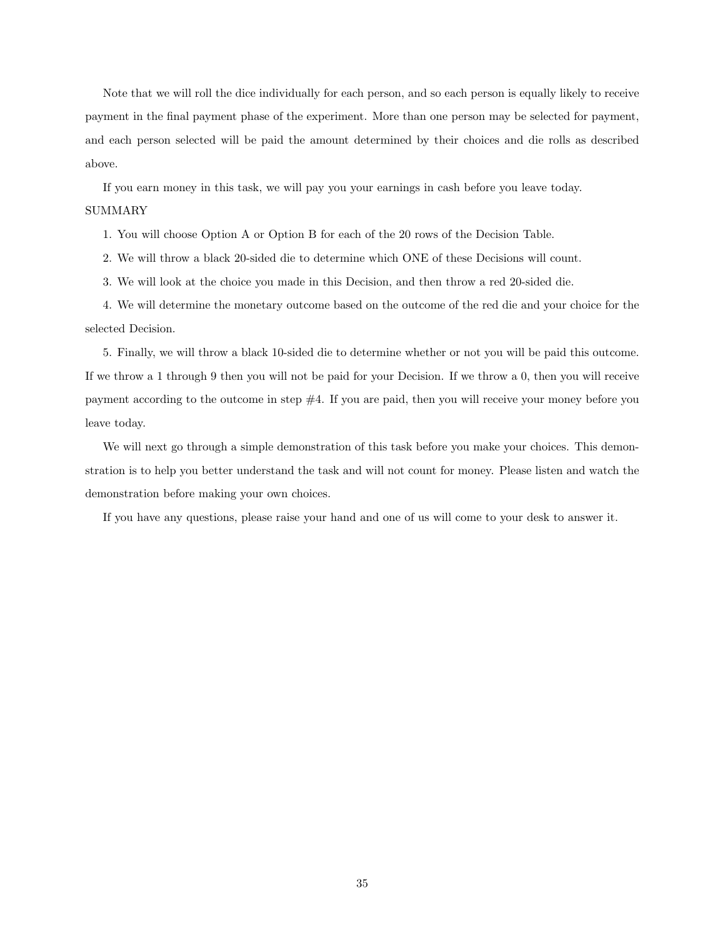Note that we will roll the dice individually for each person, and so each person is equally likely to receive payment in the final payment phase of the experiment. More than one person may be selected for payment, and each person selected will be paid the amount determined by their choices and die rolls as described above.

If you earn money in this task, we will pay you your earnings in cash before you leave today. SUMMARY

1. You will choose Option A or Option B for each of the 20 rows of the Decision Table.

2. We will throw a black 20-sided die to determine which ONE of these Decisions will count.

3. We will look at the choice you made in this Decision, and then throw a red 20-sided die.

4. We will determine the monetary outcome based on the outcome of the red die and your choice for the selected Decision.

5. Finally, we will throw a black 10-sided die to determine whether or not you will be paid this outcome. If we throw a 1 through 9 then you will not be paid for your Decision. If we throw a 0, then you will receive payment according to the outcome in step #4. If you are paid, then you will receive your money before you leave today.

We will next go through a simple demonstration of this task before you make your choices. This demonstration is to help you better understand the task and will not count for money. Please listen and watch the demonstration before making your own choices.

If you have any questions, please raise your hand and one of us will come to your desk to answer it.